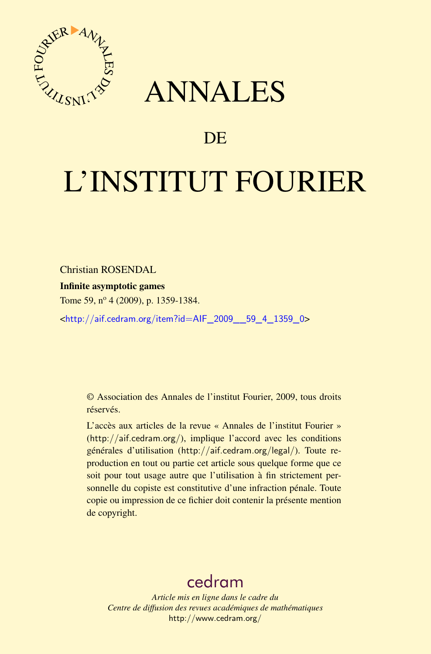

## ANNALES

### **DE**

# L'INSTITUT FOURIER

Christian ROSENDAL

Infinite asymptotic games

Tome 59, nº 4 (2009), p. 1359-1384.

<[http://aif.cedram.org/item?id=AIF\\_2009\\_\\_59\\_4\\_1359\\_0](http://aif.cedram.org/item?id=AIF_2009__59_4_1359_0)>

© Association des Annales de l'institut Fourier, 2009, tous droits réservés.

L'accès aux articles de la revue « Annales de l'institut Fourier » (<http://aif.cedram.org/>), implique l'accord avec les conditions générales d'utilisation (<http://aif.cedram.org/legal/>). Toute reproduction en tout ou partie cet article sous quelque forme que ce soit pour tout usage autre que l'utilisation à fin strictement personnelle du copiste est constitutive d'une infraction pénale. Toute copie ou impression de ce fichier doit contenir la présente mention de copyright.

## [cedram](http://www.cedram.org/)

*Article mis en ligne dans le cadre du Centre de diffusion des revues académiques de mathématiques* <http://www.cedram.org/>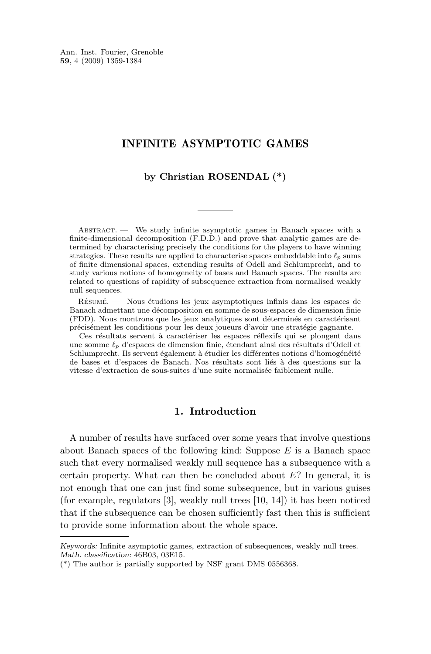Ann. Inst. Fourier, Grenoble **59**, 4 (2009) 1359-1384

#### INFINITE ASYMPTOTIC GAMES

**by Christian ROSENDAL (\*)**

Abstract. — We study infinite asymptotic games in Banach spaces with a finite-dimensional decomposition (F.D.D.) and prove that analytic games are determined by characterising precisely the conditions for the players to have winning strategies. These results are applied to characterise spaces embeddable into  $\ell_p$  sums of finite dimensional spaces, extending results of Odell and Schlumprecht, and to study various notions of homogeneity of bases and Banach spaces. The results are related to questions of rapidity of subsequence extraction from normalised weakly null sequences.

Résumé. — Nous étudions les jeux asymptotiques infinis dans les espaces de Banach admettant une décomposition en somme de sous-espaces de dimension finie (FDD). Nous montrons que les jeux analytiques sont déterminés en caractérisant précisément les conditions pour les deux joueurs d'avoir une stratégie gagnante.

Ces résultats servent à caractériser les espaces réflexifs qui se plongent dans une somme  $\ell_p$  d'espaces de dimension finie, étendant ainsi des résultats d'Odell et Schlumprecht. Ils servent également à étudier les différentes notions d'homogénéité de bases et d'espaces de Banach. Nos résultats sont liés à des questions sur la vitesse d'extraction de sous-suites d'une suite normalisée faiblement nulle.

#### **1. Introduction**

A number of results have surfaced over some years that involve questions about Banach spaces of the following kind: Suppose  $E$  is a Banach space such that every normalised weakly null sequence has a subsequence with a certain property. What can then be concluded about  $E$ ? In general, it is not enough that one can just find some subsequence, but in various guises (for example, regulators [\[3\]](#page-25-0), weakly null trees [\[10,](#page-26-0) [14\]](#page-26-0)) it has been noticed that if the subsequence can be chosen sufficiently fast then this is sufficient to provide some information about the whole space.

*Keywords:* Infinite asymptotic games, extraction of subsequences, weakly null trees. *Math. classification:* 46B03, 03E15.

<sup>(\*)</sup> The author is partially supported by NSF grant DMS 0556368.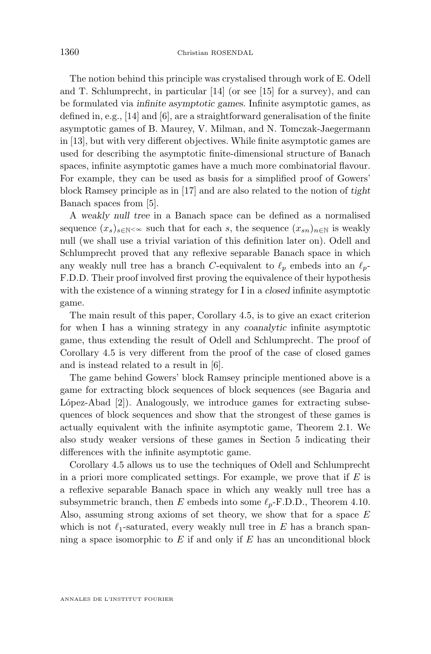The notion behind this principle was crystalised through work of E. Odell and T. Schlumprecht, in particular [\[14\]](#page-26-0) (or see [\[15\]](#page-26-0) for a survey), and can be formulated via *infinite asymptotic games*. Infinite asymptotic games, as defined in, e.g., [\[14\]](#page-26-0) and [\[6\]](#page-25-0), are a straightforward generalisation of the finite asymptotic games of B. Maurey, V. Milman, and N. Tomczak-Jaegermann in [\[13\]](#page-26-0), but with very different objectives. While finite asymptotic games are used for describing the asymptotic finite-dimensional structure of Banach spaces, infinite asymptotic games have a much more combinatorial flavour. For example, they can be used as basis for a simplified proof of Gowers' block Ramsey principle as in [\[17\]](#page-26-0) and are also related to the notion of *tight* Banach spaces from [\[5\]](#page-25-0).

A *weakly null tree* in a Banach space can be defined as a normalised sequence  $(x_s)_{s\in\mathbb{N}}\ll\infty$  such that for each s, the sequence  $(x_{sn})_{n\in\mathbb{N}}$  is weakly null (we shall use a trivial variation of this definition later on). Odell and Schlumprecht proved that any reflexive separable Banach space in which any weakly null tree has a branch C-equivalent to  $\ell_p$  embeds into an  $\ell_p$ -F.D.D. Their proof involved first proving the equivalence of their hypothesis with the existence of a winning strategy for I in a *closed* infinite asymptotic game.

The main result of this paper, Corollary [4.5,](#page-17-0) is to give an exact criterion for when I has a winning strategy in any *coanalytic* infinite asymptotic game, thus extending the result of Odell and Schlumprecht. The proof of Corollary [4.5](#page-17-0) is very different from the proof of the case of closed games and is instead related to a result in [\[6\]](#page-25-0).

The game behind Gowers' block Ramsey principle mentioned above is a game for extracting block sequences of block sequences (see Bagaria and López-Abad [\[2\]](#page-25-0)). Analogously, we introduce games for extracting subsequences of block sequences and show that the strongest of these games is actually equivalent with the infinite asymptotic game, Theorem [2.1.](#page-4-0) We also study weaker versions of these games in Section [5](#page-22-0) indicating their differences with the infinite asymptotic game.

Corollary [4.5](#page-17-0) allows us to use the techniques of Odell and Schlumprecht in a priori more complicated settings. For example, we prove that if  $E$  is a reflexive separable Banach space in which any weakly null tree has a subsymmetric branch, then E embeds into some  $\ell_p$ -F.D.D., Theorem [4.10.](#page-21-0) Also, assuming strong axioms of set theory, we show that for a space  $E$ which is not  $\ell_1$ -saturated, every weakly null tree in E has a branch spanning a space isomorphic to  $E$  if and only if  $E$  has an unconditional block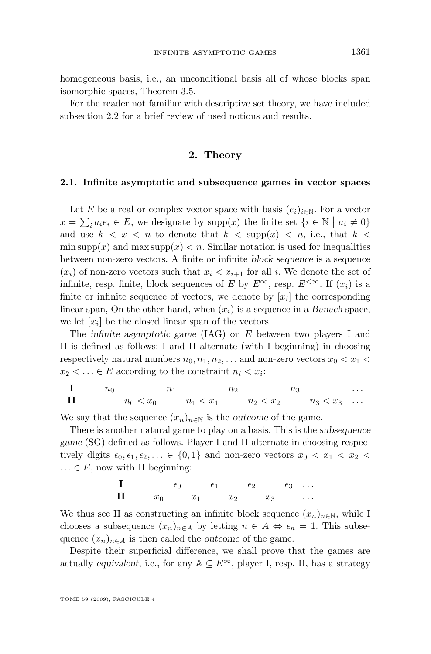homogeneous basis, i.e., an unconditional basis all of whose blocks span isomorphic spaces, Theorem [3.5.](#page-13-0)

For the reader not familiar with descriptive set theory, we have included subsection [2.2](#page-6-0) for a brief review of used notions and results.

#### **2. Theory**

#### **2.1. Infinite asymptotic and subsequence games in vector spaces**

Let E be a real or complex vector space with basis  $(e_i)_{i\in\mathbb{N}}$ . For a vector  $x = \sum_i a_i e_i \in E$ , we designate by supp $(x)$  the finite set  $\{i \in \mathbb{N} \mid a_i \neq 0\}$ and use  $k < x < n$  to denote that  $k < \text{supp}(x) < n$ , i.e., that  $k <$ min supp $(x)$  and max supp $(x) < n$ . Similar notation is used for inequalities between non-zero vectors. A finite or infinite *block sequence* is a sequence  $(x_i)$  of non-zero vectors such that  $x_i < x_{i+1}$  for all i. We denote the set of infinite, resp. finite, block sequences of E by  $E^{\infty}$ , resp.  $E^{<\infty}$ . If  $(x_i)$  is a finite or infinite sequence of vectors, we denote by  $[x_i]$  the corresponding linear span, On the other hand, when  $(x_i)$  is a sequence in a *Banach* space, we let  $[x_i]$  be the closed linear span of the vectors.

The *infinite asymptotic game* (IAG) on E between two players I and II is defined as follows: I and II alternate (with I beginning) in choosing respectively natural numbers  $n_0, n_1, n_2, \ldots$  and non-zero vectors  $x_0 < x_1 <$  $x_2 < \ldots \in E$  according to the constraint  $n_i < x_i$ :

| I  | $n_0$       | $n_1$       | $n_2$       | $n_3$       | ... |
|----|-------------|-------------|-------------|-------------|-----|
| II | $n_0 < x_0$ | $n_1 < x_1$ | $n_2 < x_2$ | $n_3 < x_3$ | ... |

We say that the sequence  $(x_n)_{n\in\mathbb{N}}$  is the *outcome* of the game.

There is another natural game to play on a basis. This is the *subsequence game* (SG) defined as follows. Player I and II alternate in choosing respectively digits  $\epsilon_0, \epsilon_1, \epsilon_2, \ldots \in \{0, 1\}$  and non-zero vectors  $x_0 < x_1 < x_2 <$  $\ldots \in E$ , now with II beginning:

$$
\begin{array}{ccccccccc}\n\mathbf{I} & & & & & \epsilon_0 & & & \epsilon_1 & & & \epsilon_2 & & & \epsilon_3 & & \dots \\
\mathbf{II} & & & x_0 & & x_1 & & x_2 & & x_3 & & \dots\n\end{array}
$$

We thus see II as constructing an infinite block sequence  $(x_n)_{n\in\mathbb{N}}$ , while I chooses a subsequence  $(x_n)_{n\in A}$  by letting  $n \in A \Leftrightarrow \epsilon_n = 1$ . This subsequence  $(x_n)_{n\in A}$  is then called the *outcome* of the game.

Despite their superficial difference, we shall prove that the games are actually *equivalent*, i.e., for any  $A \subseteq E^{\infty}$ , player I, resp. II, has a strategy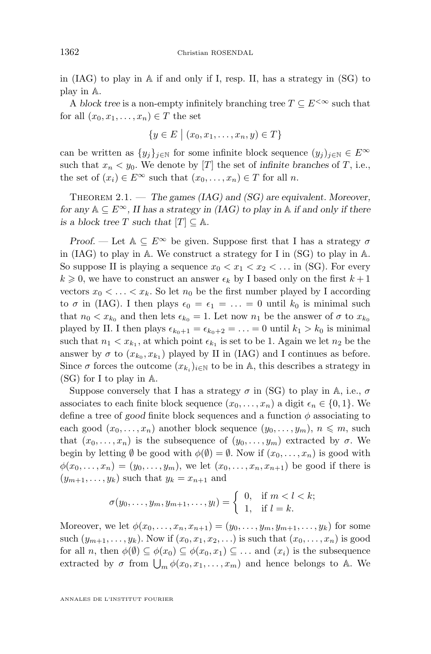<span id="page-4-0"></span>in (IAG) to play in A if and only if I, resp. II, has a strategy in (SG) to play in A.

A *block tree* is a non-empty infinitely branching tree  $T \subseteq E^{\leq \infty}$  such that for all  $(x_0, x_1, \ldots, x_n) \in T$  the set

$$
\{y \in E \mid (x_0, x_1, \dots, x_n, y) \in T\}
$$

can be written as  $\{y_i\}_{i\in\mathbb{N}}$  for some infinite block sequence  $(y_i)_{i\in\mathbb{N}}\in E^\infty$ such that  $x_n < y_0$ . We denote by [T] the set of *infinite branches* of T, i.e., the set of  $(x_i) \in E^\infty$  such that  $(x_0, \ldots, x_n) \in T$  for all n.

Theorem 2.1. — *The games (IAG) and (SG) are equivalent. Moreover, for any*  $A \subseteq E^{\infty}$ , *II has a strategy in (IAG) to play in*  $A$  *if and only if there is a block tree* T *such that*  $[T] \subseteq \mathbb{A}$ *.* 

*Proof.* — Let  $A \subseteq E^{\infty}$  be given. Suppose first that I has a strategy  $\sigma$ in (IAG) to play in A. We construct a strategy for I in (SG) to play in A. So suppose II is playing a sequence  $x_0 < x_1 < x_2 < \dots$  in (SG). For every  $k \geq 0$ , we have to construct an answer  $\epsilon_k$  by I based only on the first  $k+1$ vectors  $x_0 < \ldots < x_k$ . So let  $n_0$  be the first number played by I according to  $\sigma$  in (IAG). I then plays  $\epsilon_0 = \epsilon_1 = \ldots = 0$  until  $k_0$  is minimal such that  $n_0 < x_{k_0}$  and then lets  $\epsilon_{k_0} = 1$ . Let now  $n_1$  be the answer of  $\sigma$  to  $x_{k_0}$ played by II. I then plays  $\epsilon_{k_0+1} = \epsilon_{k_0+2} = \ldots = 0$  until  $k_1 > k_0$  is minimal such that  $n_1 < x_{k_1}$ , at which point  $\epsilon_{k_1}$  is set to be 1. Again we let  $n_2$  be the answer by  $\sigma$  to  $(x_{k_0}, x_{k_1})$  played by II in (IAG) and I continues as before. Since  $\sigma$  forces the outcome  $(x_{k_i})_{i\in\mathbb{N}}$  to be in A, this describes a strategy in (SG) for I to play in A.

Suppose conversely that I has a strategy  $\sigma$  in (SG) to play in A, i.e.,  $\sigma$ associates to each finite block sequence  $(x_0, \ldots, x_n)$  a digit  $\epsilon_n \in \{0, 1\}$ . We define a tree of *good* finite block sequences and a function  $\phi$  associating to each good  $(x_0, \ldots, x_n)$  another block sequence  $(y_0, \ldots, y_m)$ ,  $n \leq m$ , such that  $(x_0, \ldots, x_n)$  is the subsequence of  $(y_0, \ldots, y_m)$  extracted by  $\sigma$ . We begin by letting  $\emptyset$  be good with  $\phi(\emptyset) = \emptyset$ . Now if  $(x_0, \ldots, x_n)$  is good with  $\phi(x_0,...,x_n) = (y_0,...,y_m)$ , we let  $(x_0,...,x_n,x_{n+1})$  be good if there is  $(y_{m+1}, \ldots, y_k)$  such that  $y_k = x_{n+1}$  and

$$
\sigma(y_0,\ldots,y_m,y_{m+1},\ldots,y_l)=\begin{cases}0, & \text{if } m < l < k; \\ 1, & \text{if } l = k.\end{cases}
$$

Moreover, we let  $\phi(x_0, ..., x_n, x_{n+1}) = (y_0, ..., y_m, y_{m+1}, ..., y_k)$  for some such  $(y_{m+1}, \ldots, y_k)$ . Now if  $(x_0, x_1, x_2, \ldots)$  is such that  $(x_0, \ldots, x_n)$  is good for all n, then  $\phi(\emptyset) \subseteq \phi(x_0) \subseteq \phi(x_0, x_1) \subseteq \ldots$  and  $(x_i)$  is the subsequence extracted by  $\sigma$  from  $\bigcup_m \phi(x_0, x_1, \ldots, x_m)$  and hence belongs to A. We

ANNALES DE L'INSTITUT FOURIER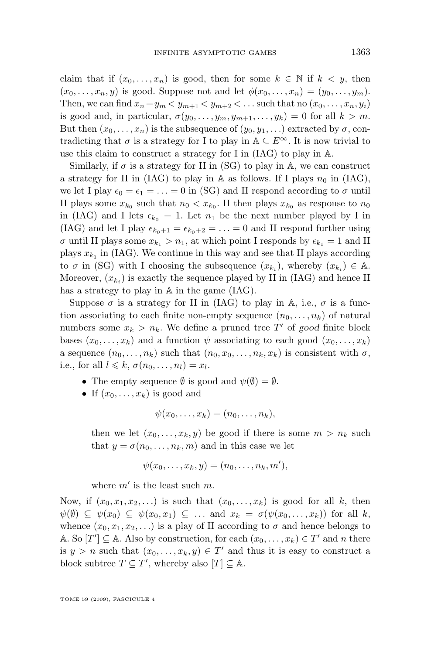claim that if  $(x_0, \ldots, x_n)$  is good, then for some  $k \in \mathbb{N}$  if  $k < y$ , then  $(x_0, \ldots, x_n, y)$  is good. Suppose not and let  $\phi(x_0, \ldots, x_n) = (y_0, \ldots, y_m)$ . Then, we can find  $x_n = y_m < y_{m+1} < y_{m+2} < \dots$  such that no  $(x_0, \dots, x_n, y_i)$ is good and, in particular,  $\sigma(y_0, \ldots, y_m, y_{m+1}, \ldots, y_k) = 0$  for all  $k > m$ . But then  $(x_0, \ldots, x_n)$  is the subsequence of  $(y_0, y_1, \ldots)$  extracted by  $\sigma$ , contradicting that  $\sigma$  is a strategy for I to play in  $\mathbb{A} \subseteq E^{\infty}$ . It is now trivial to use this claim to construct a strategy for I in (IAG) to play in A.

Similarly, if  $\sigma$  is a strategy for II in (SG) to play in A, we can construct a strategy for II in (IAG) to play in A as follows. If I plays  $n_0$  in (IAG), we let I play  $\epsilon_0 = \epsilon_1 = \ldots = 0$  in (SG) and II respond according to  $\sigma$  until II plays some  $x_{k_0}$  such that  $n_0 < x_{k_0}$ . II then plays  $x_{k_0}$  as response to  $n_0$ in (IAG) and I lets  $\epsilon_{k_0} = 1$ . Let  $n_1$  be the next number played by I in (IAG) and let I play  $\epsilon_{k_0+1} = \epsilon_{k_0+2} = \ldots = 0$  and II respond further using  $\sigma$  until II plays some  $x_{k_1} > n_1$ , at which point I responds by  $\epsilon_{k_1} = 1$  and II plays  $x_{k_1}$  in (IAG). We continue in this way and see that II plays according to  $\sigma$  in (SG) with I choosing the subsequence  $(x_{k_i})$ , whereby  $(x_{k_i}) \in A$ . Moreover,  $(x_{k_i})$  is exactly the sequence played by II in (IAG) and hence II has a strategy to play in A in the game (IAG).

Suppose  $\sigma$  is a strategy for II in (IAG) to play in A, i.e.,  $\sigma$  is a function associating to each finite non-empty sequence  $(n_0, \ldots, n_k)$  of natural numbers some  $x_k > n_k$ . We define a pruned tree T' of good finite block bases  $(x_0, \ldots, x_k)$  and a function  $\psi$  associating to each good  $(x_0, \ldots, x_k)$ a sequence  $(n_0, \ldots, n_k)$  such that  $(n_0, x_0, \ldots, n_k, x_k)$  is consistent with  $\sigma$ , i.e., for all  $l \leq k$ ,  $\sigma(n_0, \ldots, n_l) = x_l$ .

- The empty sequence  $\emptyset$  is good and  $\psi(\emptyset) = \emptyset$ .
- If  $(x_0, \ldots, x_k)$  is good and

$$
\psi(x_0,\ldots,x_k)=(n_0,\ldots,n_k),
$$

then we let  $(x_0, \ldots, x_k, y)$  be good if there is some  $m > n_k$  such that  $y = \sigma(n_0, \ldots, n_k, m)$  and in this case we let

$$
\psi(x_0,\ldots,x_k,y)=(n_0,\ldots,n_k,m'),
$$

where  $m'$  is the least such  $m$ .

Now, if  $(x_0, x_1, x_2, ...)$  is such that  $(x_0, \ldots, x_k)$  is good for all k, then  $\psi(\emptyset) \subseteq \psi(x_0) \subseteq \psi(x_0, x_1) \subseteq \ldots$  and  $x_k = \sigma(\psi(x_0, \ldots, x_k))$  for all k, whence  $(x_0, x_1, x_2, \ldots)$  is a play of II according to  $\sigma$  and hence belongs to A. So  $[T'] \subseteq$  A. Also by construction, for each  $(x_0, \ldots, x_k) \in T'$  and n there is  $y > n$  such that  $(x_0, \ldots, x_k, y) \in T'$  and thus it is easy to construct a block subtree  $T \subseteq T'$ , whereby also  $[T] \subseteq \mathbb{A}$ .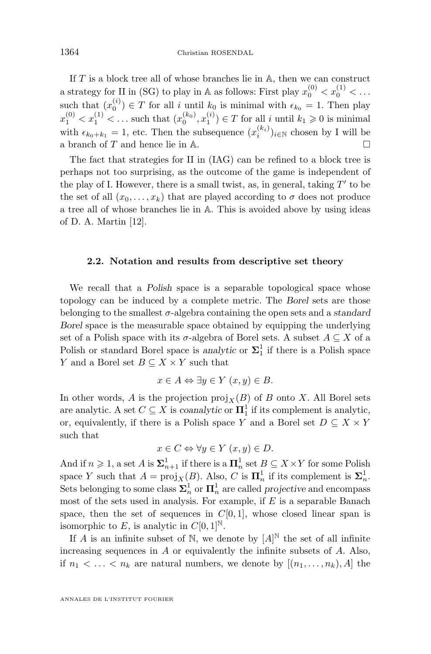<span id="page-6-0"></span>If  $T$  is a block tree all of whose branches lie in  $A$ , then we can construct a strategy for II in (SG) to play in A as follows: First play  $x_0^{(0)} < x_0^{(1)} < \dots$ such that  $(x_0^{(i)}) \in T$  for all i until  $k_0$  is minimal with  $\epsilon_{k_0} = 1$ . Then play  $x_1^{(0)} < x_1^{(1)} < \dots$  such that  $(x_0^{(k_0)}, x_1^{(i)}) \in T$  for all i until  $k_1 \geq 0$  is minimal with  $\epsilon_{k_0+k_1} = 1$ , etc. Then the subsequence  $(x_i^{(k_i)})_{i \in \mathbb{N}}$  chosen by I will be a branch of  $T$  and hence lie in  $\mathbb A$ .

The fact that strategies for II in (IAG) can be refined to a block tree is perhaps not too surprising, as the outcome of the game is independent of the play of I. However, there is a small twist, as, in general, taking  $T'$  to be the set of all  $(x_0, \ldots, x_k)$  that are played according to  $\sigma$  does not produce a tree all of whose branches lie in A. This is avoided above by using ideas of D. A. Martin [\[12\]](#page-26-0).

#### **2.2. Notation and results from descriptive set theory**

We recall that a *Polish* space is a separable topological space whose topology can be induced by a complete metric. The *Borel* sets are those belonging to the smallest σ-algebra containing the open sets and a *standard Borel* space is the measurable space obtained by equipping the underlying set of a Polish space with its  $\sigma$ -algebra of Borel sets. A subset  $A \subseteq X$  of a Polish or standard Borel space is *analytic* or  $\Sigma_1^1$  if there is a Polish space Y and a Borel set  $B \subseteq X \times Y$  such that

$$
x \in A \Leftrightarrow \exists y \in Y \ (x, y) \in B.
$$

In other words, A is the projection  $\text{proj}_X(B)$  of B onto X. All Borel sets are analytic. A set  $C \subseteq X$  is *coanalytic* or  $\mathbf{\Pi}^1_1$  if its complement is analytic, or, equivalently, if there is a Polish space Y and a Borel set  $D \subseteq X \times Y$ such that

$$
x \in C \Leftrightarrow \forall y \in Y \ (x, y) \in D.
$$

And if  $n \geq 1$ , a set A is  $\sum_{n+1}^{1}$  if there is a  $\mathbf{\Pi}_{n}^{1}$  set  $B \subseteq X \times Y$  for some Polish space Y such that  $A = \text{proj}_X(B)$ . Also, C is  $\mathbf{\Pi}_n^1$  if its complement is  $\mathbf{\Sigma}_n^1$ . Sets belonging to some class  $\Sigma^1_n$  or  $\Pi^1_n$  are called *projective* and encompass most of the sets used in analysis. For example, if  $E$  is a separable Banach space, then the set of sequences in  $C[0, 1]$ , whose closed linear span is isomorphic to E, is analytic in  $C[0, 1]^{\mathbb{N}}$ .

If A is an infinite subset of N, we denote by  $[A]^{\mathbb{N}}$  the set of all infinite increasing sequences in  $A$  or equivalently the infinite subsets of  $A$ . Also, if  $n_1 < \ldots < n_k$  are natural numbers, we denote by  $[(n_1, \ldots, n_k), A]$  the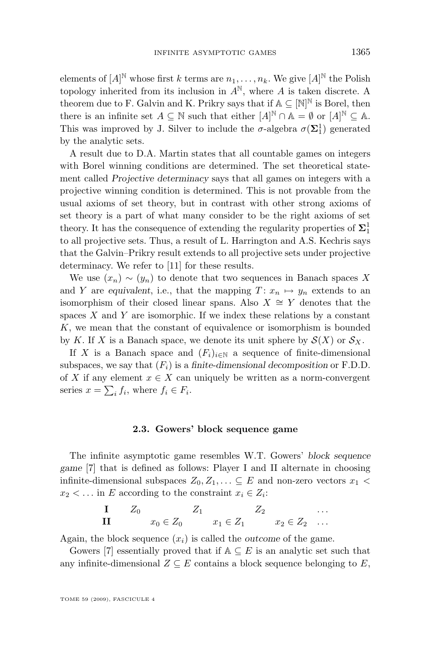elements of  $[A]^{\mathbb{N}}$  whose first k terms are  $n_1, \ldots, n_k$ . We give  $[A]^{\mathbb{N}}$  the Polish topology inherited from its inclusion in  $A^N$ , where A is taken discrete. A theorem due to F. Galvin and K. Prikry says that if  $A \subseteq [N]^N$  is Borel, then there is an infinite set  $A \subseteq \mathbb{N}$  such that either  $[A]^{\mathbb{N}} \cap \mathbb{A} = \emptyset$  or  $[A]^{\mathbb{N}} \subseteq \mathbb{A}$ . This was improved by J. Silver to include the  $\sigma$ -algebra  $\sigma(\Sigma_1^1)$  generated by the analytic sets.

A result due to D.A. Martin states that all countable games on integers with Borel winning conditions are determined. The set theoretical statement called *Projective determinacy* says that all games on integers with a projective winning condition is determined. This is not provable from the usual axioms of set theory, but in contrast with other strong axioms of set theory is a part of what many consider to be the right axioms of set theory. It has the consequence of extending the regularity properties of  $\mathbf{\Sigma}^1_1$ to all projective sets. Thus, a result of L. Harrington and A.S. Kechris says that the Galvin–Prikry result extends to all projective sets under projective determinacy. We refer to [\[11\]](#page-26-0) for these results.

We use  $(x_n) \sim (y_n)$  to denote that two sequences in Banach spaces X and Y are *equivalent*, i.e., that the mapping  $T: x_n \mapsto y_n$  extends to an isomorphism of their closed linear spans. Also  $X \cong Y$  denotes that the spaces  $X$  and  $Y$  are isomorphic. If we index these relations by a constant K, we mean that the constant of equivalence or isomorphism is bounded by K. If X is a Banach space, we denote its unit sphere by  $\mathcal{S}(X)$  or  $\mathcal{S}_X$ .

If X is a Banach space and  $(F_i)_{i\in\mathbb{N}}$  a sequence of finite-dimensional subspaces, we say that  $(F_i)$  is a *finite-dimensional decomposition* or F.D.D. of X if any element  $x \in X$  can uniquely be written as a norm-convergent series  $x = \sum_i f_i$ , where  $f_i \in F_i$ .

#### **2.3. Gowers' block sequence game**

The infinite asymptotic game resembles W.T. Gowers' *block sequence game* [\[7\]](#page-26-0) that is defined as follows: Player I and II alternate in choosing infinite-dimensional subspaces  $Z_0, Z_1, \ldots \subseteq E$  and non-zero vectors  $x_1$  <  $x_2 < \dots$  in E according to the constraint  $x_i \in Z_i$ :

$$
\begin{array}{llll}\n\mathbf{I} & Z_0 & Z_1 & Z_2 & \dots \\
\mathbf{II} & x_0 \in Z_0 & x_1 \in Z_1 & x_2 \in Z_2 & \dots\n\end{array}
$$

Again, the block sequence  $(x_i)$  is called the *outcome* of the game.

Gowers [\[7\]](#page-26-0) essentially proved that if  $A \subseteq E$  is an analytic set such that any infinite-dimensional  $Z \subseteq E$  contains a block sequence belonging to E,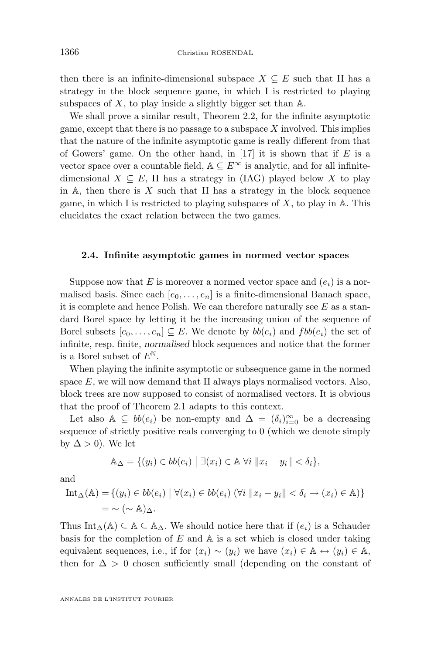<span id="page-8-0"></span>then there is an infinite-dimensional subspace  $X \subseteq E$  such that II has a strategy in the block sequence game, in which I is restricted to playing subspaces of  $X$ , to play inside a slightly bigger set than  $A$ .

We shall prove a similar result, Theorem [2.2,](#page-9-0) for the infinite asymptotic game, except that there is no passage to a subspace  $X$  involved. This implies that the nature of the infinite asymptotic game is really different from that of Gowers' game. On the other hand, in [\[17\]](#page-26-0) it is shown that if  $E$  is a vector space over a countable field,  $A \subseteq E^{\infty}$  is analytic, and for all infinitedimensional  $X \subseteq E$ , II has a strategy in (IAG) played below X to play in  $A$ , then there is X such that II has a strategy in the block sequence game, in which I is restricted to playing subspaces of  $X$ , to play in  $A$ . This elucidates the exact relation between the two games.

#### **2.4. Infinite asymptotic games in normed vector spaces**

Suppose now that E is moreover a normed vector space and  $(e_i)$  is a normalised basis. Since each  $[e_0, \ldots, e_n]$  is a finite-dimensional Banach space, it is complete and hence Polish. We can therefore naturally see  $E$  as a standard Borel space by letting it be the increasing union of the sequence of Borel subsets  $[e_0, \ldots, e_n] \subseteq E$ . We denote by  $bb(e_i)$  and  $fbb(e_i)$  the set of infinite, resp. finite, *normalised* block sequences and notice that the former is a Borel subset of  $E^{\mathbb{N}}$ .

When playing the infinite asymptotic or subsequence game in the normed space  $E$ , we will now demand that II always plays normalised vectors. Also, block trees are now supposed to consist of normalised vectors. It is obvious that the proof of Theorem [2.1](#page-4-0) adapts to this context.

Let also  $\mathbb{A} \subseteq bb(e_i)$  be non-empty and  $\Delta = (\delta_i)_{i=0}^{\infty}$  be a decreasing sequence of strictly positive reals converging to 0 (which we denote simply by  $\Delta > 0$ ). We let

$$
\mathbb{A}_{\Delta} = \{(y_i) \in bb(e_i) \mid \exists (x_i) \in \mathbb{A} \,\forall i \,\|x_i - y_i\| < \delta_i\},
$$

and

$$
\begin{aligned} \text{Int}_{\Delta}(\mathbb{A}) &= \{ (y_i) \in bb(e_i) \mid \forall (x_i) \in bb(e_i) \ (\forall i \ \|x_i - y_i\| < \delta_i \to (x_i) \in \mathbb{A}) \} \\ &= \sim (\sim \mathbb{A})_{\Delta}. \end{aligned}
$$

Thus Int<sub>∆</sub>(A)  $\subseteq$  A  $\subseteq$  A<sub>∆</sub>. We should notice here that if  $(e_i)$  is a Schauder basis for the completion of  $E$  and  $\mathbb A$  is a set which is closed under taking equivalent sequences, i.e., if for  $(x_i) \sim (y_i)$  we have  $(x_i) \in \mathbb{A} \leftrightarrow (y_i) \in \mathbb{A}$ , then for  $\Delta > 0$  chosen sufficiently small (depending on the constant of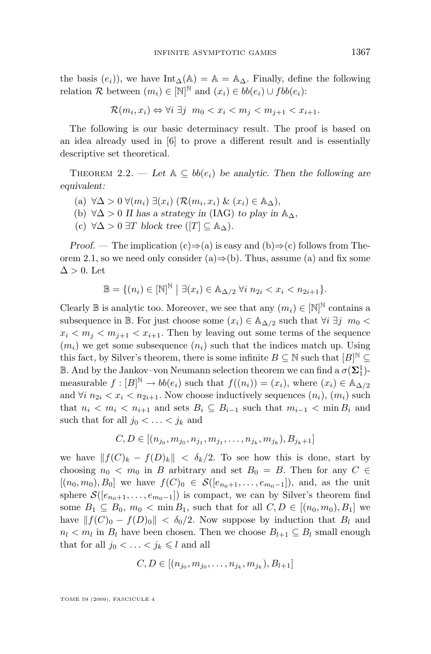<span id="page-9-0"></span>the basis  $(e_i)$ , we have Int<sub>∆</sub>(A) = A = A<sub>∆</sub>. Finally, define the following relation R between  $(m_i) \in [\mathbb{N}]^{\mathbb{N}}$  and  $(x_i) \in bb(e_i) \cup fbb(e_i)$ :

$$
\mathcal{R}(m_i, x_i) \Leftrightarrow \forall i \ \exists j \ \ m_0 < x_i < m_j < m_{j+1} < x_{i+1}.
$$

The following is our basic determinacy result. The proof is based on an idea already used in [\[6\]](#page-25-0) to prove a different result and is essentially descriptive set theoretical.

THEOREM 2.2. — Let  $A \subseteq bb(e_i)$  be analytic. Then the following are *equivalent:*

- (a) ∀∆ > 0 ∀(mi) ∃(xi) (R(m<sup>i</sup> , xi) & (xi) ∈ A∆)*,*
- (b)  $\forall \Delta > 0$  *II has a strategy in* (IAG) *to play in*  $\mathbb{A}_{\Delta}$ *,*
- (c) ∀∆ > 0 ∃T *block tree* ([T] ⊆ A∆)*.*

*Proof.* — The implication  $(c) \Rightarrow (a)$  is easy and  $(b) \Rightarrow (c)$  follows from The-orem [2.1,](#page-4-0) so we need only consider (a) $\Rightarrow$ (b). Thus, assume (a) and fix some  $\Delta > 0$ . Let

$$
\mathbb{B} = \{(n_i) \in [\mathbb{N}]^{\mathbb{N}} \mid \exists (x_i) \in \mathbb{A}_{\Delta/2} \,\forall i \, n_{2i} < x_i < n_{2i+1}\}.
$$

Clearly  $\mathbb B$  is analytic too. Moreover, we see that any  $(m_i) \in [\mathbb N]^{\mathbb N}$  contains a subsequence in B. For just choose some  $(x_i) \in A_{\Delta/2}$  such that  $\forall i \exists j \, m_0$  $x_i < m_j < m_{i+1} < x_{i+1}$ . Then by leaving out some terms of the sequence  $(m_i)$  we get some subsequence  $(n_i)$  such that the indices match up. Using this fact, by Silver's theorem, there is some infinite  $B \subseteq \mathbb{N}$  such that  $[B]^{\mathbb{N}} \subseteq$ **B**. And by the Jankov–von Neumann selection theorem we can find a  $\sigma(\Sigma_1^1)$ measurable  $f: [B]^{\mathbb{N}} \to bb(e_i)$  such that  $f((n_i)) = (x_i)$ , where  $(x_i) \in \mathbb{A}_{\Delta/2}$ and  $\forall i \ n_{2i} < x_i < n_{2i+1}$ . Now choose inductively sequences  $(n_i)$ ,  $(m_i)$  such that  $n_i < m_i < n_{i+1}$  and sets  $B_i \subseteq B_{i-1}$  such that  $m_{i-1} < \min B_i$  and such that for all  $j_0 < \ldots < j_k$  and

$$
C, D \in [(n_{j_0}, m_{j_0}, n_{j_1}, m_{j_1}, \dots, n_{j_k}, m_{j_k}), B_{j_k+1}]
$$

we have  $||f(C)_k - f(D)_k|| < \delta_k/2$ . To see how this is done, start by choosing  $n_0 < m_0$  in B arbitrary and set  $B_0 = B$ . Then for any  $C \in$  $[(n_0, m_0), B_0]$  we have  $f(C)_0 \in \mathcal{S}([e_{n_0+1}, \ldots, e_{m_0-1}]),$  and, as the unit sphere  $\mathcal{S}([e_{n_0+1}, \ldots, e_{m_0-1}])$  is compact, we can by Silver's theorem find some  $B_1 \subseteq B_0$ ,  $m_0 < \min B_1$ , such that for all  $C, D \in [(n_0, m_0), B_1]$  we have  $||f(C)_0 - f(D)_0|| < \delta_0/2$ . Now suppose by induction that  $B_l$  and  $n_l < m_l$  in  $B_l$  have been chosen. Then we choose  $B_{l+1} \subseteq B_l$  small enough that for all  $j_0 < \ldots < j_k \leq l$  and all

$$
C, D \in [(n_{j_0}, m_{j_0}, \dots, n_{j_k}, m_{j_k}), B_{l+1}]
$$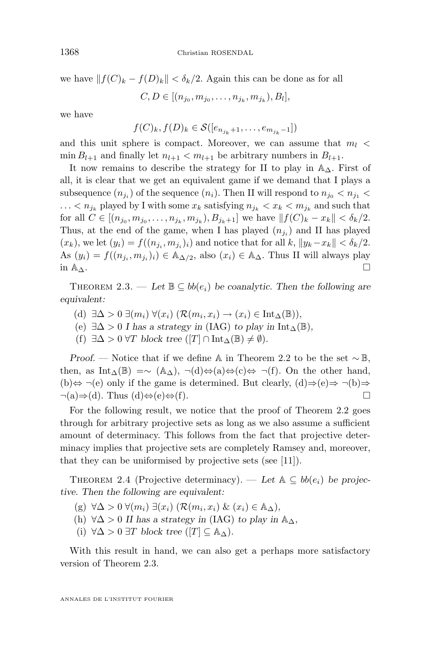<span id="page-10-0"></span>we have  $||f(C)_k - f(D)_k|| < \delta_k/2$ . Again this can be done as for all

$$
C, D \in [(n_{j_0}, m_{j_0}, \dots, n_{j_k}, m_{j_k}), B_l],
$$

we have

$$
f(C)_k, f(D)_k \in \mathcal{S}([e_{n_{j_k}+1}, \ldots, e_{m_{j_k}-1}])
$$

and this unit sphere is compact. Moreover, we can assume that  $m_l$  $\min B_{l+1}$  and finally let  $n_{l+1} < m_{l+1}$  be arbitrary numbers in  $B_{l+1}$ .

It now remains to describe the strategy for II to play in  $\mathbb{A}_{\Delta}$ . First of all, it is clear that we get an equivalent game if we demand that I plays a subsequence  $(n_{j_i})$  of the sequence  $(n_i)$ . Then II will respond to  $n_{j_0} < n_{j_1} <$  $\ldots < n_{j_k}$  played by I with some  $x_k$  satisfying  $n_{j_k} < x_k < m_{j_k}$  and such that for all  $C \in [(n_{j_0}, m_{j_0}, \dots, n_{j_k}, m_{j_k}), B_{j_k+1}]$  we have  $||f(C)_k - x_k|| < \delta_k/2$ . Thus, at the end of the game, when I has played  $(n_{j_i})$  and II has played  $(x_k)$ , we let  $(y_i) = f((n_{j_i}, m_{j_i})_i)$  and notice that for all  $k$ ,  $||y_k - x_k|| < \delta_k/2$ . As  $(y_i) = f((n_{j_i}, m_{j_i})_i) \in \mathbb{A}_{\Delta/2}$ , also  $(x_i) \in \mathbb{A}_{\Delta}$ . Thus II will always play in  $\mathbb{A}_{\Delta}$ .

THEOREM 2.3. — Let  $\mathbb{B} \subseteq bb(e_i)$  be coanalytic. Then the following are *equivalent:*

- (d)  $\exists \Delta > 0 \ \exists (m_i) \ \forall (x_i) \ (\mathcal{R}(m_i, x_i) \rightarrow (x_i) \in \text{Int}_{\Delta}(\mathbb{B}))$ ,
- (e)  $\exists \Delta > 0$  *I* has a strategy in (IAG) to play in Int<sub>△</sub>( $\mathbb{B}$ ),
- (f)  $\exists \Delta > 0$   $\forall T$  *block tree* ([T]  $\cap$  Int<sub> $\Delta$ </sub>( $\mathbb{B}$ )  $\neq$   $\emptyset$ )*.*

*Proof.* — Notice that if we define A in Theorem [2.2](#page-9-0) to be the set ~ B, then, as Int<sub>∆</sub>(B) =~ (A<sub>△</sub>), ¬(d)⇔(a)⇔(c)⇔ ¬(f). On the other hand, (b) $\Leftrightarrow \neg(e)$  only if the game is determined. But clearly,  $(d) \Rightarrow (e) \Rightarrow \neg(b) \Rightarrow$  $\neg(a) \Rightarrow d$ . Thus  $(d) \Leftrightarrow (e) \Leftrightarrow (f)$ .

For the following result, we notice that the proof of Theorem [2.2](#page-9-0) goes through for arbitrary projective sets as long as we also assume a sufficient amount of determinacy. This follows from the fact that projective determinacy implies that projective sets are completely Ramsey and, moreover, that they can be uniformised by projective sets (see [\[11\]](#page-26-0)).

THEOREM 2.4 (Projective determinacy). — Let  $\mathbb{A} \subseteq bb(e_i)$  be projec*tive. Then the following are equivalent:*

- (g) ∀∆ > 0 ∀(mi) ∃(xi) (R(m<sup>i</sup> , xi) & (xi) ∈ A∆)*,*
- (h)  $\forall \Delta > 0$  *II has a strategy in* (IAG) *to play in*  $\mathbb{A}_{\Delta}$ *,*

(i)  $\forall \Delta > 0 \exists T$  *block tree* ([T]  $\subseteq A_{\Delta}$ ).

With this result in hand, we can also get a perhaps more satisfactory version of Theorem 2.3.

ANNALES DE L'INSTITUT FOURIER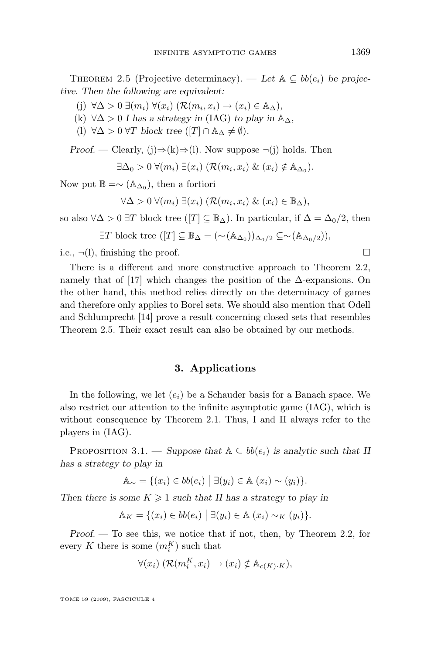<span id="page-11-0"></span>THEOREM 2.5 (Projective determinacy). — Let  $\mathbb{A} \subseteq bb(e_i)$  be projec*tive. Then the following are equivalent:*

- (j)  $\forall \Delta > 0 \ \exists (m_i) \ \forall (x_i) \ (\mathcal{R}(m_i, x_i) \rightarrow (x_i) \in \mathbb{A}_{\Delta}),$
- (k) ∀∆ > 0 *I has a strategy in* (IAG) *to play in* A∆*,*
- (l)  $\forall \Delta > 0 \ \forall T \ block \ tree \ ([T] \cap \mathbb{A}_{\Delta} \neq \emptyset).$

*Proof.* — Clearly, (j) $\Rightarrow$ (k) $\Rightarrow$ (l). Now suppose  $\neg$ (j) holds. Then

$$
\exists \Delta_0 > 0 \; \forall (m_i) \; \exists (x_i) \; (\mathcal{R}(m_i, x_i) \; \& \; (x_i) \notin \mathbb{A}_{\Delta_0}).
$$

Now put  $\mathbb{B} = \sim (\mathbb{A}_{\Delta_0})$ , then a fortiori

$$
\forall \Delta > 0 \ \forall (m_i) \ \exists (x_i) \ (\mathcal{R}(m_i, x_i) \ \& \ (x_i) \in \mathbb{B}_{\Delta}),
$$

so also  $\forall \Delta > 0 \exists T$  block tree  $([T] \subseteq \mathbb{B}_{\Delta})$ . In particular, if  $\Delta = \Delta_0/2$ , then

 $\exists T$  block tree  $([T] \subseteq \mathbb{B}_{\Delta} = (\sim(\mathbb{A}_{\Delta_0}))_{\Delta_0/2} \subseteq \sim (\mathbb{A}_{\Delta_0/2})$ ,

i.e.,  $\neg(1)$ , finishing the proof.

There is a different and more constructive approach to Theorem [2.2,](#page-9-0) namely that of [\[17\]](#page-26-0) which changes the position of the  $\Delta$ -expansions. On the other hand, this method relies directly on the determinacy of games and therefore only applies to Borel sets. We should also mention that Odell and Schlumprecht [\[14\]](#page-26-0) prove a result concerning closed sets that resembles Theorem [2.5.](#page-10-0) Their exact result can also be obtained by our methods.

#### **3. Applications**

In the following, we let  $(e_i)$  be a Schauder basis for a Banach space. We also restrict our attention to the infinite asymptotic game (IAG), which is without consequence by Theorem [2.1.](#page-4-0) Thus, I and II always refer to the players in (IAG).

PROPOSITION 3.1. — *Suppose that*  $A \subseteq bb(e_i)$  *is analytic such that* II *has a strategy to play in*

$$
\mathbb{A}_{\sim} = \{(x_i) \in bb(e_i) \mid \exists (y_i) \in \mathbb{A} \ (x_i) \sim (y_i) \}.
$$

*Then there is some*  $K \geq 1$  *such that II has a strategy to play in* 

$$
\mathbb{A}_K = \{(x_i) \in bb(e_i) \mid \exists (y_i) \in \mathbb{A} \ (x_i) \sim_K (y_i) \}.
$$

*Proof. —* To see this, we notice that if not, then, by Theorem [2.2,](#page-9-0) for every K there is some  $(m_i^K)$  such that

$$
\forall (x_i) \ (\mathcal{R}(m_i^K, x_i) \to (x_i) \notin \mathbb{A}_{c(K) \cdot K}),
$$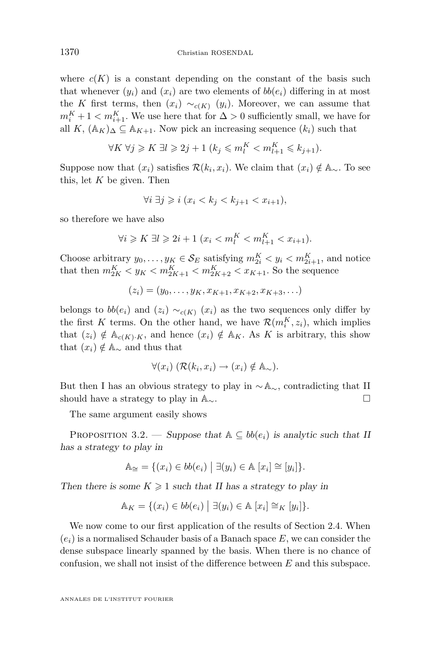where  $c(K)$  is a constant depending on the constant of the basis such that whenever  $(y_i)$  and  $(x_i)$  are two elements of  $bb(e_i)$  differing in at most the K first terms, then  $(x_i) \sim_{c(K)} (y_i)$ . Moreover, we can assume that  $m_i^K + 1 < m_{i+1}^K$ . We use here that for  $\Delta > 0$  sufficiently small, we have for all K,  $(\mathbb{A}_K)_{\Delta} \subseteq \mathbb{A}_{K+1}$ . Now pick an increasing sequence  $(k_i)$  such that

$$
\forall K \ \forall j \geqslant K \ \exists l \geqslant 2j+1 \ (k_j \leqslant m_i^K < m_{l+1}^K \leqslant k_{j+1}).
$$

Suppose now that  $(x_i)$  satisfies  $\mathcal{R}(k_i, x_i)$ . We claim that  $(x_i) \notin \mathbb{A}_{\sim}$ . To see this, let  $K$  be given. Then

$$
\forall i \ \exists j \geqslant i \ (x_i < k_j < k_{j+1} < x_{i+1}),
$$

so therefore we have also

$$
\forall i \geq K \; \exists l \geq 2i + 1 \; (x_i < m_l^K < m_{l+1}^K < x_{i+1}).
$$

Choose arbitrary  $y_0, \ldots, y_K \in \mathcal{S}_E$  satisfying  $m_{2i}^K < y_i < m_{2i+1}^K$ , and notice that then  $m_{2K}^{K} < y_{K} < m_{2K+1}^{K} < m_{2K+2}^{K} < x_{K+1}$ . So the sequence

 $(z_i) = (y_0, \ldots, y_K, x_{K+1}, x_{K+2}, x_{K+3}, \ldots)$ 

belongs to  $bb(e_i)$  and  $(z_i) \sim_{c(K)} (x_i)$  as the two sequences only differ by the first K terms. On the other hand, we have  $\mathcal{R}(m_i^K, z_i)$ , which implies that  $(z_i) \notin A_{c(K)\cdot K}$ , and hence  $(x_i) \notin A_K$ . As K is arbitrary, this show that  $(x_i) \notin A_{\sim}$  and thus that

$$
\forall (x_i) \ (\mathcal{R}(k_i, x_i) \to (x_i) \notin \mathbb{A}_{\sim}).
$$

But then I has an obvious strategy to play in  $\sim$  A<sub>∼</sub>, contradicting that II should have a strategy to play in  $\mathbb{A}_{\sim}$ .  $\Box$ 

The same argument easily shows

PROPOSITION 3.2. — *Suppose that*  $A \subseteq bb(e_i)$  *is analytic such that* II *has a strategy to play in*

$$
\mathbb{A}_{\cong} = \{(x_i) \in bb(e_i) \mid \exists (y_i) \in \mathbb{A} \ [x_i] \cong [y_i] \}.
$$

*Then there is some*  $K \geq 1$  *such that II has a strategy to play in* 

$$
\mathbb{A}_K = \{(x_i) \in bb(e_i) \mid \exists (y_i) \in \mathbb{A} \ [x_i] \cong_K [y_i] \}.
$$

We now come to our first application of the results of Section [2.4.](#page-8-0) When  $(e_i)$  is a normalised Schauder basis of a Banach space E, we can consider the dense subspace linearly spanned by the basis. When there is no chance of confusion, we shall not insist of the difference between  $E$  and this subspace.

<span id="page-12-0"></span>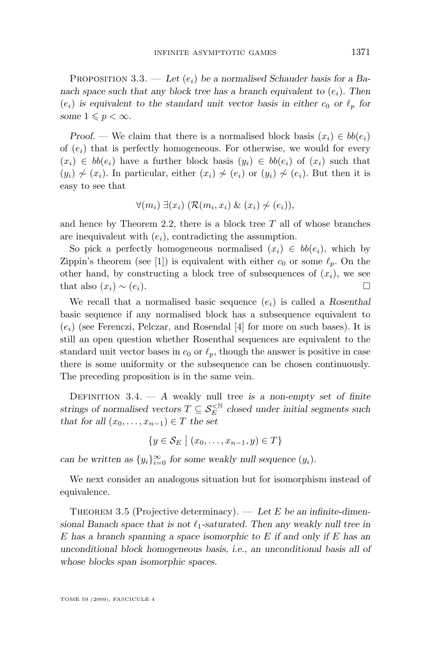<span id="page-13-0"></span>PROPOSITION 3.3.  $-$  Let  $(e_i)$  be a normalised Schauder basis for a Ba*nach space such that any block tree has a branch equivalent to*  $(e_i)$ *. Then*  $(e_i)$  is equivalent to the standard unit vector basis in either  $c_0$  or  $\ell_p$  for *some*  $1 \leqslant p < \infty$ *.* 

*Proof.* — We claim that there is a normalised block basis  $(x_i) \in bb(e_i)$ of  $(e_i)$  that is perfectly homogeneous. For otherwise, we would for every  $(x_i) \in bb(e_i)$  have a further block basis  $(y_i) \in bb(e_i)$  of  $(x_i)$  such that  $(y_i) \not\sim (x_i)$ . In particular, either  $(x_i) \not\sim (e_i)$  or  $(y_i) \not\sim (e_i)$ . But then it is easy to see that

$$
\forall (m_i) \ \exists (x_i) \ (\mathcal{R}(m_i, x_i) \ \& \ (x_i) \not\sim (e_i)),
$$

and hence by Theorem [2.2,](#page-9-0) there is a block tree  $T$  all of whose branches are inequivalent with  $(e_i)$ , contradicting the assumption.

So pick a perfectly homogeneous normalised  $(x_i) \in bb(e_i)$ , which by Zippin's theorem (see [\[1\]](#page-25-0)) is equivalent with either  $c_0$  or some  $\ell_p$ . On the other hand, by constructing a block tree of subsequences of  $(x_i)$ , we see that also  $(x_i) \sim (e_i)$ .

We recall that a normalised basic sequence  $(e_i)$  is called a *Rosenthal* basic sequence if any normalised block has a subsequence equivalent to  $(e_i)$  (see Ferenczi, Pelczar, and Rosendal [\[4\]](#page-25-0) for more on such bases). It is still an open question whether Rosenthal sequences are equivalent to the standard unit vector bases in  $c_0$  or  $\ell_p$ , though the answer is positive in case there is some uniformity or the subsequence can be chosen continuously. The preceding proposition is in the same vein.

DEFINITION  $3.4. - A$  weakly null tree *is a non-empty set of finite strings of normalised vectors*  $T \subseteq S_E^{\leq \mathbb{N}}$  closed under initial segments such *that for all*  $(x_0, \ldots, x_{n-1}) \in T$  *the set* 

$$
\{y \in \mathcal{S}_E \mid (x_0, \ldots, x_{n-1}, y) \in T\}
$$

*can be written as*  $\{y_i\}_{i=0}^{\infty}$  *for some weakly null sequence*  $(y_i)$ *.* 

We next consider an analogous situation but for isomorphism instead of equivalence.

THEOREM 3.5 (Projective determinacy). — Let E be an infinite-dimen*sional Banach space that is not*  $\ell_1$ -saturated. Then any weakly null tree in E *has a branch spanning a space isomorphic to* E *if and only if* E *has an unconditional block homogeneous basis, i.e., an unconditional basis all of whose blocks span isomorphic spaces.*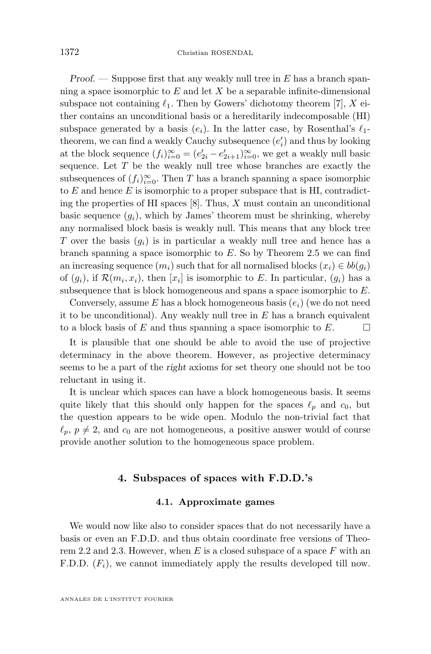*Proof.* — Suppose first that any weakly null tree in E has a branch spanning a space isomorphic to  $E$  and let  $X$  be a separable infinite-dimensional subspace not containing  $\ell_1$ . Then by Gowers' dichotomy theorem [\[7\]](#page-26-0), X either contains an unconditional basis or a hereditarily indecomposable (HI) subspace generated by a basis  $(e_i)$ . In the latter case, by Rosenthal's  $\ell_1$ theorem, we can find a weakly Cauchy subsequence  $(e'_i)$  and thus by looking at the block sequence  $(f_i)_{i=0}^{\infty} = (e'_{2i} - e'_{2i+1})_{i=0}^{\infty}$ , we get a weakly null basic sequence. Let  $T$  be the weakly null tree whose branches are exactly the subsequences of  $(f_i)_{i=0}^{\infty}$ . Then T has a branch spanning a space isomorphic to  $E$  and hence  $E$  is isomorphic to a proper subspace that is HI, contradicting the properties of HI spaces  $[8]$ . Thus, X must contain an unconditional basic sequence  $(g_i)$ , which by James' theorem must be shrinking, whereby any normalised block basis is weakly null. This means that any block tree T over the basis  $(q_i)$  is in particular a weakly null tree and hence has a branch spanning a space isomorphic to  $E$ . So by Theorem [2.5](#page-10-0) we can find an increasing sequence  $(m_i)$  such that for all normalised blocks  $(x_i) \in bb(g_i)$ of  $(g_i)$ , if  $\mathcal{R}(m_i, x_i)$ , then  $[x_i]$  is isomorphic to E. In particular,  $(g_i)$  has a subsequence that is block homogeneous and spans a space isomorphic to E.

Conversely, assume E has a block homogeneous basis  $(e_i)$  (we do not need it to be unconditional). Any weakly null tree in  $E$  has a branch equivalent to a block basis of E and thus spanning a space isomorphic to  $E$ .

It is plausible that one should be able to avoid the use of projective determinacy in the above theorem. However, as projective determinacy seems to be a part of the *right* axioms for set theory one should not be too reluctant in using it.

It is unclear which spaces can have a block homogeneous basis. It seems quite likely that this should only happen for the spaces  $\ell_p$  and  $c_0$ , but the question appears to be wide open. Modulo the non-trivial fact that  $\ell_p, p \neq 2$ , and  $c_0$  are not homogeneous, a positive answer would of course provide another solution to the homogeneous space problem.

#### **4. Subspaces of spaces with F.D.D.'s**

#### **4.1. Approximate games**

We would now like also to consider spaces that do not necessarily have a basis or even an F.D.D. and thus obtain coordinate free versions of Theo-rem [2.2](#page-9-0) and [2.3.](#page-10-0) However, when E is a closed subspace of a space  $F$  with an F.D.D.  $(F_i)$ , we cannot immediately apply the results developed till now.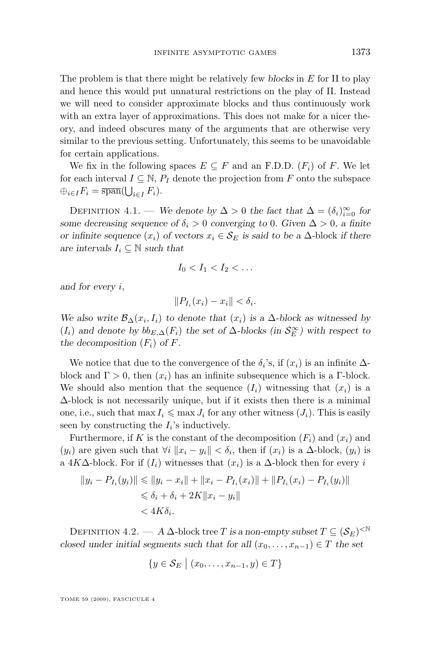The problem is that there might be relatively few *blocks* in E for II to play and hence this would put unnatural restrictions on the play of II. Instead we will need to consider approximate blocks and thus continuously work with an extra layer of approximations. This does not make for a nicer theory, and indeed obscures many of the arguments that are otherwise very similar to the previous setting. Unfortunately, this seems to be unavoidable for certain applications.

We fix in the following spaces  $E \subseteq F$  and an F.D.D.  $(F_i)$  of F. We let for each interval  $I \subseteq \mathbb{N}$ ,  $P_I$  denote the projection from F onto the subspace  $\bigoplus_{i\in I}F_i=\overline{\operatorname{span}}(\bigcup_{i\in I}F_i).$ 

DEFINITION 4.1. — *We denote by*  $\Delta > 0$  *the fact that*  $\Delta = (\delta_i)_{i=0}^{\infty}$  *for some decreasing sequence of*  $\delta_i > 0$  *converging to* 0*. Given*  $\Delta > 0$ *, a finite or infinite sequence*  $(x_i)$  *of vectors*  $x_i \in S_E$  *is said to be a*  $\Delta$ *-block if there are intervals*  $I_i \subseteq \mathbb{N}$  *such that* 

$$
I_0 < I_1 < I_2 < \ldots
$$

*and for every* i*,*

$$
||P_{I_i}(x_i)-x_i|| < \delta_i.
$$

*We also write*  $\mathcal{B}_{\Delta}(x_i, I_i)$  *to denote that*  $(x_i)$  *is a*  $\Delta$ *-block as witnessed by*  $(I_i)$  *and denote by*  $bb_{E,\Delta}(F_i)$  *the set of*  $\Delta$ *-blocks (in*  $\mathcal{S}_E^{\infty}$ ) with respect to *the decomposition*  $(F_i)$  *of*  $F$ *.* 

We notice that due to the convergence of the  $\delta_i$ 's, if  $(x_i)$  is an infinite  $\Delta$ block and  $\Gamma > 0$ , then  $(x_i)$  has an infinite subsequence which is a Γ-block. We should also mention that the sequence  $(I_i)$  witnessing that  $(x_i)$  is a  $\Delta$ -block is not necessarily unique, but if it exists then there is a minimal one, i.e., such that  $\max I_i \leq \max J_i$  for any other witness  $(J_i)$ . This is easily seen by constructing the  $I_i$ 's inductively.

Furthermore, if K is the constant of the decomposition  $(F_i)$  and  $(x_i)$  and  $(y_i)$  are given such that  $\forall i$   $||x_i - y_i|| < \delta_i$ , then if  $(x_i)$  is a  $\Delta$ -block,  $(y_i)$  is a 4K∆-block. For if  $(I_i)$  witnesses that  $(x_i)$  is a  $\Delta$ -block then for every i

$$
||y_i - P_{I_i}(y_i)|| \le ||y_i - x_i|| + ||x_i - P_{I_i}(x_i)|| + ||P_{I_i}(x_i) - P_{I_i}(y_i)||
$$
  
\n
$$
\le \delta_i + \delta_i + 2K||x_i - y_i||
$$
  
\n
$$
< 4K\delta_i.
$$

DEFINITION 4.2. — A  $\Delta$ -block tree T is a non-empty subset  $T \subseteq (\mathcal{S}_E)^{<\mathbb{N}}$ *closed under initial segments such that for all*  $(x_0, \ldots, x_{n-1}) \in T$  *the set* 

$$
\{y \in \mathcal{S}_E \mid (x_0, \ldots, x_{n-1}, y) \in T\}
$$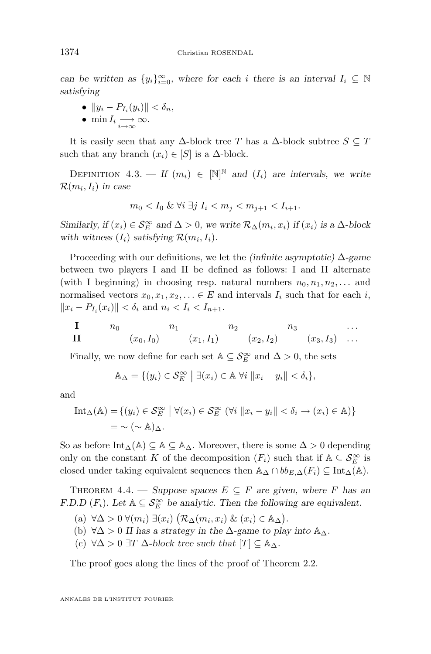*can be written as*  $\{y_i\}_{i=0}^{\infty}$ , where for each *i* there is an interval  $I_i \subseteq \mathbb{N}$ *satisfying*

- $||y_i P_{I_i}(y_i)|| < \delta_n$ ,
- $\min I_i \underset{i \to \infty}{\longrightarrow} \infty$ .

It is easily seen that any  $\Delta$ -block tree T has a  $\Delta$ -block subtree  $S \subseteq T$ such that any branch  $(x_i) \in [S]$  is a  $\Delta$ -block.

DEFINITION 4.3. — *If*  $(m_i) \in [\mathbb{N}]^{\mathbb{N}}$  and  $(I_i)$  are intervals, we write  $\mathcal{R}(m_i, I_i)$  in case

$$
m_0 < I_0 \& \forall i \ \exists j \ I_i < m_j < m_{j+1} < I_{i+1}.
$$

*Similarly, if*  $(x_i) \in S_E^{\infty}$  *and*  $\Delta > 0$ *, we write*  $\mathcal{R}_{\Delta}(m_i, x_i)$  *if*  $(x_i)$  *is a*  $\Delta$ *-block* with witness  $(I_i)$  *satisfying*  $\mathcal{R}(m_i, I_i)$ *.* 

Proceeding with our definitions, we let the *(infinite asymptotic)* ∆*-game* between two players I and II be defined as follows: I and II alternate (with I beginning) in choosing resp. natural numbers  $n_0, n_1, n_2, \ldots$  and normalised vectors  $x_0, x_1, x_2, \ldots \in E$  and intervals  $I_i$  such that for each i,  $||x_i - P_{I_i}(x_i)|| < \delta_i$  and  $n_i < I_i < I_{n+1}$ .

$$
\mathbf{I} \quad n_0 \quad n_1 \quad n_2 \quad n_3 \quad \dots
$$
  

$$
\mathbf{II} \quad (x_0, I_0) \quad (x_1, I_1) \quad n_2 \quad (x_2, I_2) \quad (x_3, I_3) \quad \dots
$$

Finally, we now define for each set  $\mathbb{A} \subseteq \mathcal{S}^\infty_E$  and  $\Delta > 0$  the sets

$$
\mathbb{A}_{\Delta} = \{ (y_i) \in \mathcal{S}_E^{\infty} \mid \exists (x_i) \in \mathbb{A} \; \forall i \; ||x_i - y_i|| < \delta_i \},
$$

and

$$
\text{Int}_{\Delta}(\mathbb{A}) = \{ (y_i) \in \mathcal{S}_E^{\infty} \mid \forall (x_i) \in \mathcal{S}_E^{\infty} \ (\forall i \ \|x_i - y_i\| < \delta_i \to (x_i) \in \mathbb{A}) \} \\ = \sim (\sim \mathbb{A})_{\Delta}.
$$

So as before  $\text{Int}_{\Delta}(\mathbb{A}) \subseteq \mathbb{A} \subseteq \mathbb{A}_{\Delta}$ . Moreover, there is some  $\Delta > 0$  depending only on the constant K of the decomposition  $(F_i)$  such that if  $\mathbb{A} \subseteq \mathcal{S}^{\infty}_E$  is closed under taking equivalent sequences then  $\mathbb{A}_{\Delta} \cap bb_{E,\Delta}(F_i) \subseteq \text{Int}_{\Delta}(\mathbb{A}).$ 

THEOREM 4.4. — *Suppose spaces*  $E \subseteq F$  *are given, where* F has an *F.D.D* ( $F_i$ )*.* Let  $A \subseteq S_E^{\infty}$  be analytic. Then the following are equivalent.

- (a)  $\forall \Delta > 0 \ \forall (m_i) \ \exists (x_i) \ (\mathcal{R}_{\Delta}(m_i, x_i) \ \& \ (x_i) \in \mathbb{A}_{\Delta}).$
- (b)  $\forall \Delta > 0$  *II has a strategy in the*  $\Delta$ -game to play into  $\mathbb{A}_{\Delta}$ .
- (c)  $\forall \Delta > 0 \exists T \Delta$ *-block tree such that*  $[T] \subseteq \mathbb{A}_{\Delta}$ *.*

The proof goes along the lines of the proof of Theorem [2.2.](#page-9-0)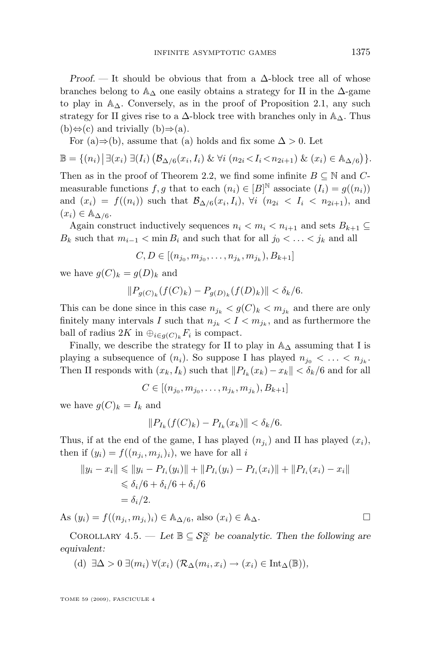<span id="page-17-0"></span>*Proof.* — It should be obvious that from a ∆-block tree all of whose branches belong to  $\mathbb{A}_{\Delta}$  one easily obtains a strategy for II in the  $\Delta$ -game to play in  $\mathbb{A}_{\Delta}$ . Conversely, as in the proof of Proposition [2.1,](#page-4-0) any such strategy for II gives rise to a  $\Delta$ -block tree with branches only in  $\mathbb{A}_{\Delta}$ . Thus (b) $\Leftrightarrow$ (c) and trivially (b) $\Rightarrow$ (a).

For (a)⇒(b), assume that (a) holds and fix some  $\Delta > 0$ . Let

$$
\mathbb{B} = \{(n_i) | \exists (x_i) \ \exists (I_i) \ (\mathcal{B}_{\Delta/6}(x_i, I_i) \ \& \ \forall i \ (n_{2i} < I_i < n_{2i+1}) \ \& \ (x_i) \in \mathbb{A}_{\Delta/6}\}.
$$

Then as in the proof of Theorem [2.2,](#page-9-0) we find some infinite  $B \subseteq \mathbb{N}$  and Cmeasurable functions  $f, g$  that to each  $(n_i) \in [B]^{\mathbb{N}}$  associate  $(I_i) = g((n_i))$ and  $(x_i) = f((n_i))$  such that  $\mathcal{B}_{\Delta/6}(x_i, I_i)$ ,  $\forall i \ (n_{2i} < I_i < n_{2i+1})$ , and  $(x_i) \in \mathbb{A}_{\Delta/6}.$ 

Again construct inductively sequences  $n_i < m_i < n_{i+1}$  and sets  $B_{k+1} \subseteq$  $B_k$  such that  $m_{i-1} < \min B_i$  and such that for all  $j_0 < \ldots < j_k$  and all

$$
C, D \in [(n_{j_0}, m_{j_0}, \dots, n_{j_k}, m_{j_k}), B_{k+1}]
$$

we have  $q(C)_k = q(D)_k$  and

$$
||P_{g(C)_k}(f(C)_k) - P_{g(D)_k}(f(D)_k)|| < \delta_k/6.
$$

This can be done since in this case  $n_{j_k} < g(C)_k < m_{j_k}$  and there are only finitely many intervals I such that  $n_{j_k} < I < m_{j_k}$ , and as furthermore the ball of radius  $2K$  in  $\bigoplus_{i\in g(C)_k} F_i$  is compact.

Finally, we describe the strategy for II to play in  $\mathbb{A}_{\Delta}$  assuming that I is playing a subsequence of  $(n_i)$ . So suppose I has played  $n_{j_0} < \ldots < n_{j_k}$ . Then II responds with  $(x_k, I_k)$  such that  $||P_{I_k}(x_k) - x_k|| < \delta_k/6$  and for all

 $C \in [(n_{j_0}, m_{j_0}, \ldots, n_{j_k}, m_{j_k}), B_{k+1}]$ 

we have  $g(C)_k = I_k$  and

$$
||P_{I_k}(f(C)_k) - P_{I_k}(x_k)|| < \delta_k/6.
$$

Thus, if at the end of the game, I has played  $(n_{j_i})$  and II has played  $(x_i)$ , then if  $(y_i) = f((n_{j_i}, m_{j_i})_i)$ , we have for all i

$$
||y_i - x_i|| \le ||y_i - P_{I_i}(y_i)|| + ||P_{I_i}(y_i) - P_{I_i}(x_i)|| + ||P_{I_i}(x_i) - x_i||
$$
  
\n
$$
\le \delta_i/6 + \delta_i/6 + \delta_i/6
$$
  
\n
$$
= \delta_i/2.
$$

As  $(y_i) = f((n_{j_i}, m_{j_i})_i) \in \mathbb{A}_{\Delta/6}$ , also  $(x_i) \in \mathbb{A}_{\Delta}$ .

COROLLARY 4.5. — Let  $\mathbb{B} \subseteq \mathcal{S}_E^{\infty}$  be coanalytic. Then the following are *equivalent:*

(d) 
$$
\exists \Delta > 0 \ \exists (m_i) \ \forall (x_i) \ (\mathcal{R}_{\Delta}(m_i, x_i) \rightarrow (x_i) \in \text{Int}_{\Delta}(\mathbb{B}))
$$
,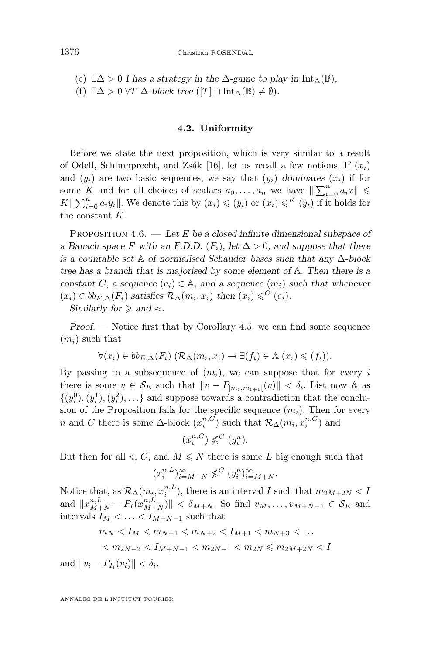<span id="page-18-0"></span>(e) ∃∆ > 0 *I has a strategy in the* ∆*-game to play in* Int∆(B)*,* (f)  $\exists \Delta > 0 \ \forall T \ \Delta\text{-block tree } ([T] \cap \text{Int}_{\Delta}(\mathbb{B}) \neq \emptyset).$ 

#### **4.2. Uniformity**

Before we state the next proposition, which is very similar to a result of Odell, Schlumprecht, and Zsák [\[16\]](#page-26-0), let us recall a few notions. If  $(x_i)$ and  $(y_i)$  are two basic sequences, we say that  $(y_i)$  *dominates*  $(x_i)$  if for some K and for all choices of scalars  $a_0, \ldots, a_n$  we have  $\|\sum_{i=0}^n a_i x\| \leq$  $K\|\sum_{i=0}^n a_i y_i\|$ . We denote this by  $(x_i) \leqslant (y_i)$  or  $(x_i) \leqslant K (y_i)$  if it holds for the constant K.

Proposition 4.6. — *Let* E *be a closed infinite dimensional subspace of a Banach space* F with an F.D.D.  $(F_i)$ , let  $\Delta > 0$ , and suppose that there *is a countable set* A *of normalised Schauder bases such that any* ∆*-block tree has a branch that is majorised by some element of* A*. Then there is a constant* C, a sequence  $(e_i) \in A$ , and a sequence  $(m_i)$  such that whenever  $(x_i) \in bb_{E,\Delta}(F_i)$  *satisfies*  $\mathcal{R}_{\Delta}(m_i, x_i)$  *then*  $(x_i) \leq C(e_i)$ *.* 

*Similarly for*  $\geq$  *and*  $\approx$ *.* 

*Proof. —* Notice first that by Corollary [4.5,](#page-17-0) we can find some sequence  $(m_i)$  such that

$$
\forall (x_i) \in bb_{E,\Delta}(F_i) \ (\mathcal{R}_{\Delta}(m_i,x_i) \to \exists (f_i) \in \mathbb{A} \ (x_i) \leqslant (f_i)).
$$

By passing to a subsequence of  $(m_i)$ , we can suppose that for every i there is some  $v \in \mathcal{S}_E$  such that  $\|v - P_{]m_i,m_{i+1}[}(v)\| < \delta_i$ . List now A as  $\{(y_i^0), (y_i^1), (y_i^2), \ldots\}$  and suppose towards a contradiction that the conclusion of the Proposition fails for the specific sequence  $(m_i)$ . Then for every n and C there is some  $\Delta$ -block  $(x_i^{n,C})$  such that  $\mathcal{R}_{\Delta}(m_i, x_i^{n,C})$  and

$$
(x_i^{n,C}) \not\leqslant^C (y_i^n).
$$

But then for all n, C, and  $M \leq N$  there is some L big enough such that

$$
(x_i^{n,L})_{i=M+N}^{\infty} \not\leqslant^C (y_i^n)_{i=M+N}^{\infty}.
$$

Notice that, as  $\mathcal{R}_{\Delta}(m_i, x_i^{n,L})$ , there is an interval I such that  $m_{2M+2N} < I$ and  $||x_{M+N}^{n,L} - P_I (x_{M+N}^{n,L})|| < \delta_{M+N}$ . So find  $v_M, \ldots, v_{M+N-1} \in S_E$  and intervals  $I_M < \ldots < I_{M+N-1}$  such that

$$
m_N < I_M < m_{N+1} < m_{N+2} < I_{M+1} < m_{N+3} < \dots
$$
\n
$$
\langle m_{2N-2} < I_{M+N-1} < m_{2N-1} < m_{2N} \le m_{2M+2N} < I
$$

and  $||v_i - P_{I_i}(v_i)|| < \delta_i$ .

ANNALES DE L'INSTITUT FOURIER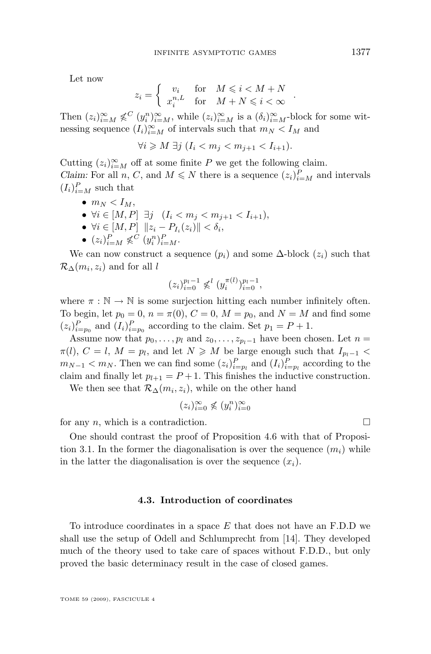Let now

$$
z_i = \left\{ \begin{array}{ll} v_i & \textrm{for} \quad M \leqslant i < M+N \\ x_i^{n,L} & \textrm{for} \quad M+N \leqslant i < \infty \end{array} \right.
$$

Then  $(z_i)_{i=M}^{\infty} \notin C$   $(y_i^n)_{i=M}^{\infty}$ , while  $(z_i)_{i=M}^{\infty}$  is a  $(\delta_i)_{i=M}^{\infty}$ -block for some witnessing sequence  $(I_i)_{i=M}^{\infty}$  of intervals such that  $m_N < I_M$  and

$$
\forall i \geqslant M \; \exists j \; (I_i < m_j < m_{j+1} < I_{i+1}).
$$

Cutting  $(z_i)_{i=M}^{\infty}$  off at some finite P we get the following claim. *Claim:* For all  $n, C$ , and  $M \leq N$  there is a sequence  $(z_i)_{i=M}^P$  and intervals  $(I_i)_{i=M}^P$  such that

- $\bullet$   $m_N < I_M$ ,
- $\forall i \in [M, P] \exists j \ (I_i < m_j < m_{j+1} < I_{i+1}),$
- $\forall i \in [M, P] \ \|z_i P_{I_i}(z_i)\| < \delta_i,$
- $(z_i)_{i=M}^P \not\leqslant^C (y_i^n)_{i=M}^P$ .

We can now construct a sequence  $(p_i)$  and some  $\Delta$ -block  $(z_i)$  such that  $\mathcal{R}_{\Delta}(m_i, z_i)$  and for all l

$$
(z_i)_{i=0}^{p_l-1} \not\leqslant^l (y_i^{\pi(l)})_{i=0}^{p_l-1},
$$

where  $\pi : \mathbb{N} \to \mathbb{N}$  is some surjection hitting each number infinitely often. To begin, let  $p_0 = 0$ ,  $n = \pi(0)$ ,  $C = 0$ ,  $M = p_0$ , and  $N = M$  and find some  $(z_i)_{i=p_0}^P$  and  $(I_i)_{i=p_0}^P$  according to the claim. Set  $p_1 = P + 1$ .

Assume now that  $p_0, \ldots, p_l$  and  $z_0, \ldots, z_{p_l-1}$  have been chosen. Let  $n =$  $\pi(l)$ ,  $C = l$ ,  $M = p_l$ , and let  $N \geqslant M$  be large enough such that  $I_{p_l-1}$  <  $m_{N-1} < m_N$ . Then we can find some  $(z_i)_{i=p_l}^P$  and  $(I_i)_{i=p_l}^P$  according to the claim and finally let  $p_{l+1} = P + 1$ . This finishes the inductive construction.

We then see that  $\mathcal{R}_{\Delta}(m_i, z_i)$ , while on the other hand

$$
(z_i)_{i=0}^{\infty} \nleq (y_i^n)_{i=0}^{\infty}
$$

for any n, which is a contradiction.  $\square$ 

One should contrast the proof of Proposition [4.6](#page-18-0) with that of Proposi-tion [3.1.](#page-11-0) In the former the diagonalisation is over the sequence  $(m_i)$  while in the latter the diagonalisation is over the sequence  $(x_i)$ .

#### **4.3. Introduction of coordinates**

To introduce coordinates in a space  $E$  that does not have an F.D.D we shall use the setup of Odell and Schlumprecht from [\[14\]](#page-26-0). They developed much of the theory used to take care of spaces without F.D.D., but only proved the basic determinacy result in the case of closed games.

.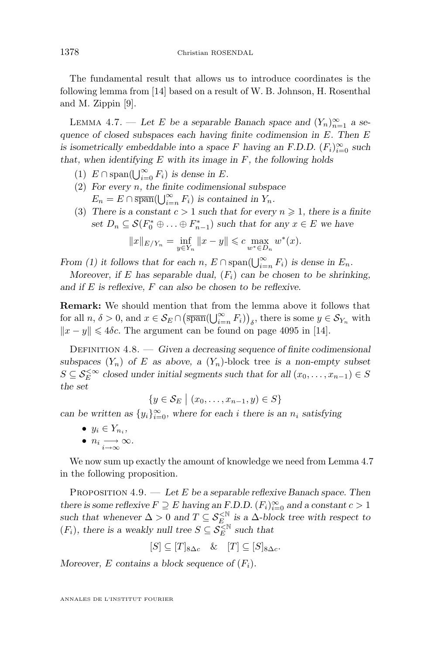<span id="page-20-0"></span>The fundamental result that allows us to introduce coordinates is the following lemma from [\[14\]](#page-26-0) based on a result of W. B. Johnson, H. Rosenthal and M. Zippin [\[9\]](#page-26-0).

LEMMA 4.7. — Let E be a separable Banach space and  $(Y_n)_{n=1}^{\infty}$  a se*quence of closed subspaces each having finite codimension in* E*. Then* E *is isometrically embeddable into a space* F *having an F.D.D.*  $(F_i)_{i=0}^{\infty}$  *such that, when identifying* E *with its image in* F*, the following holds*

- (1)  $E \cap \text{span}(\bigcup_{i=0}^{\infty} F_i)$  *is dense in E*.
- (2) *For every* n*, the finite codimensional subspace*  $E_n = E \cap \overline{\text{span}}(\bigcup_{i=n}^{\infty} F_i)$  *is contained in*  $Y_n$ *.*
- (3) There is a constant  $c > 1$  such that for every  $n \geq 1$ , there is a finite *set*  $D_n \subseteq \mathcal{S}(F_0^* \oplus \ldots \oplus F_{n-1}^*)$  *such that for any*  $x \in E$  *we have*

$$
||x||_{E/Y_n} = \inf_{y \in Y_n} ||x - y|| \leq c \max_{w^* \in D_n} w^*(x).
$$

*From (1) it follows that for each*  $n$ ,  $E \cap \text{span}(\bigcup_{i=n}^{\infty} F_i)$  *is dense in*  $E_n$ .

*Moreover, if* E has separable dual,  $(F_i)$  can be chosen to be shrinking, *and if* E *is reflexive,* F *can also be chosen to be reflexive.*

**Remark:** We should mention that from the lemma above it follows that for all  $n, \delta > 0$ , and  $x \in \mathcal{S}_E \cap (\overline{\operatorname{span}}(\bigcup_{i=n}^{\infty} F_i))_{\delta}$ , there is some  $y \in \mathcal{S}_{Y_n}$  with  $||x - y|| \le 4\delta c$ . The argument can be found on page 4095 in [\[14\]](#page-26-0).

Definition 4.8. — *Given a decreasing sequence of finite codimensional subspaces*  $(Y_n)$  *of* E *as above, a*  $(Y_n)$ -block tree *is a non-empty subset*  $S \subseteq \mathcal{S}_E^{\leq \infty}$  closed under initial segments such that for all  $(x_0, \ldots, x_{n-1}) \in S$ *the set*

 $\{y \in S_E \mid (x_0, \ldots, x_{n-1}, y) \in S\}$ 

*can be written as*  $\{y_i\}_{i=0}^{\infty}$ , where for each i there is an  $n_i$  satisfying

- $y_i \in Y_{n_i}$ ,
- $n_i \longrightarrow \infty$ .

We now sum up exactly the amount of knowledge we need from Lemma 4.7 in the following proposition.

Proposition 4.9. — *Let* E *be a separable reflexive Banach space. Then there is some reflexive*  $F \supseteq E$  *having an F.D.D.*  $(F_i)_{i=0}^{\infty}$  *and a constant*  $c > 1$ such that whenever  $\Delta > 0$  and  $T \subseteq S_E^{\leq N}$  is a  $\Delta$ *-block tree with respect to*  $(F_i)$ , there is a weakly null tree  $S \subseteq \mathcal{S}_E^{\leq \mathbb{N}}$  such that

$$
[S] \subseteq [T]_{8\Delta c} \quad \& \quad [T] \subseteq [S]_{8\Delta c}.
$$

*Moreover,* E contains a block sequence of  $(F_i)$ .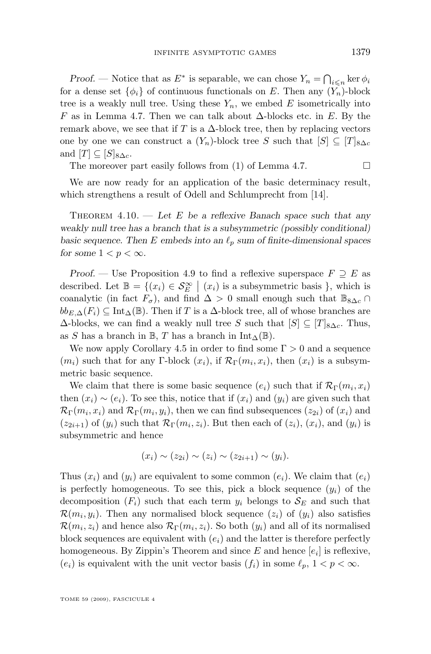<span id="page-21-0"></span>*Proof.* — Notice that as  $E^*$  is separable, we can chose  $Y_n = \bigcap_{i \leq n} \ker \phi_i$ for a dense set  $\{\phi_i\}$  of continuous functionals on E. Then any  $(Y_n)$ -block tree is a weakly null tree. Using these  $Y_n$ , we embed E isometrically into F as in Lemma [4.7.](#page-20-0) Then we can talk about  $\Delta$ -blocks etc. in E. By the remark above, we see that if T is a  $\Delta$ -block tree, then by replacing vectors one by one we can construct a  $(Y_n)$ -block tree S such that  $[S] \subseteq [T]_{8\Delta c}$ and  $[T] \subset [S]_{8\Lambda_c}$ .

The moreover part easily follows from (1) of Lemma [4.7.](#page-20-0)  $\Box$ 

We are now ready for an application of the basic determinacy result, which strengthens a result of Odell and Schlumprecht from [\[14\]](#page-26-0).

Theorem 4.10. — *Let* E *be a reflexive Banach space such that any weakly null tree has a branch that is a subsymmetric (possibly conditional) basic sequence. Then* E *embeds into an*  $\ell_p$  *sum of finite-dimensional spaces for some*  $1 < p < \infty$ *.* 

*Proof.* — Use Proposition [4.9](#page-20-0) to find a reflexive superspace  $F \supseteq E$  as described. Let  $\mathbb{B} = \{(x_i) \in S_E^{\infty} \mid (x_i) \text{ is a subsymmetric basis }\},\$  which is coanalytic (in fact  $F_{\sigma}$ ), and find  $\Delta > 0$  small enough such that  $\mathbb{B}_{8\Delta c} \cap$  $bb_{E,\Delta}(F_i) \subseteq \text{Int}_{\Delta}(\mathbb{B})$ . Then if T is a  $\Delta$ -block tree, all of whose branches are  $\Delta$ -blocks, we can find a weakly null tree S such that  $[S] \subseteq [T]_{8\Delta c}$ . Thus, as S has a branch in B, T has a branch in Int<sub>△</sub>( $\mathbb{B}$ ).

We now apply Corollary [4.5](#page-17-0) in order to find some  $\Gamma > 0$  and a sequence  $(m_i)$  such that for any Γ-block  $(x_i)$ , if  $\mathcal{R}_{\Gamma}(m_i, x_i)$ , then  $(x_i)$  is a subsymmetric basic sequence.

We claim that there is some basic sequence  $(e_i)$  such that if  $\mathcal{R}_{\Gamma}(m_i, x_i)$ then  $(x_i) \sim (e_i)$ . To see this, notice that if  $(x_i)$  and  $(y_i)$  are given such that  $\mathcal{R}_{\Gamma}(m_i,x_i)$  and  $\mathcal{R}_{\Gamma}(m_i,y_i)$ , then we can find subsequences  $(z_{2i})$  of  $(x_i)$  and  $(z_{2i+1})$  of  $(y_i)$  such that  $\mathcal{R}_{\Gamma}(m_i, z_i)$ . But then each of  $(z_i)$ ,  $(x_i)$ , and  $(y_i)$  is subsymmetric and hence

$$
(x_i) \sim (z_{2i}) \sim (z_i) \sim (z_{2i+1}) \sim (y_i).
$$

Thus  $(x_i)$  and  $(y_i)$  are equivalent to some common  $(e_i)$ . We claim that  $(e_i)$ is perfectly homogeneous. To see this, pick a block sequence  $(y_i)$  of the decomposition  $(F_i)$  such that each term  $y_i$  belongs to  $\mathcal{S}_E$  and such that  $\mathcal{R}(m_i, y_i)$ . Then any normalised block sequence  $(z_i)$  of  $(y_i)$  also satisfies  $\mathcal{R}(m_i, z_i)$  and hence also  $\mathcal{R}_{\Gamma}(m_i, z_i)$ . So both  $(y_i)$  and all of its normalised block sequences are equivalent with  $(e_i)$  and the latter is therefore perfectly homogeneous. By Zippin's Theorem and since  $E$  and hence  $[e_i]$  is reflexive,  $(e_i)$  is equivalent with the unit vector basis  $(f_i)$  in some  $\ell_p, 1 < p < \infty$ .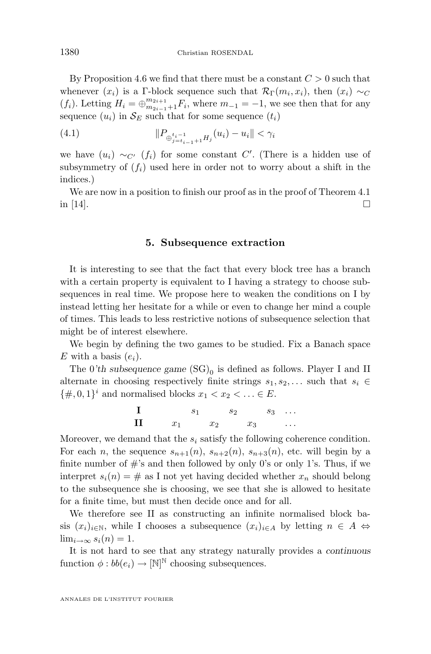<span id="page-22-0"></span>By Proposition [4.6](#page-18-0) we find that there must be a constant  $C > 0$  such that whenever  $(x_i)$  is a Γ-block sequence such that  $\mathcal{R}_{\Gamma}(m_i, x_i)$ , then  $(x_i) \sim_C$  $(f_i)$ . Letting  $H_i = \bigoplus_{m_{2i-1}+1}^{m_{2i+1}} F_i$ , where  $m_{-1} = -1$ , we see then that for any sequence  $(u_i)$  in  $\mathcal{S}_E$  such that for some sequence  $(t_i)$ 

(4.1) 
$$
||P_{\bigoplus_{j=t_{i-1}+1}^{t_i-1} H_j}(u_i) - u_i|| < \gamma_i
$$

we have  $(u_i) \sim_{C'} (f_i)$  for some constant C'. (There is a hidden use of subsymmetry of  $(f_i)$  used here in order not to worry about a shift in the indices.)

We are now in a position to finish our proof as in the proof of Theorem 4.1 in [\[14\]](#page-26-0).

#### **5. Subsequence extraction**

It is interesting to see that the fact that every block tree has a branch with a certain property is equivalent to I having a strategy to choose subsequences in real time. We propose here to weaken the conditions on I by instead letting her hesitate for a while or even to change her mind a couple of times. This leads to less restrictive notions of subsequence selection that might be of interest elsewhere.

We begin by defining the two games to be studied. Fix a Banach space E with a basis  $(e_i)$ .

The  $0$ 'th subsequence game  $(SG)_0$  is defined as follows. Player I and II alternate in choosing respectively finite strings  $s_1, s_2, \ldots$  such that  $s_i \in$  $\{\#, 0, 1\}^i$  and normalised blocks  $x_1 < x_2 < \ldots \in E$ .

$$
\begin{array}{ccccccccc}\n\mathbf{I} & & s_1 & s_2 & s_3 & \dots \\
\mathbf{II} & & x_1 & x_2 & x_3 & \dots\n\end{array}
$$

Moreover, we demand that the  $s_i$  satisfy the following coherence condition. For each n, the sequence  $s_{n+1}(n)$ ,  $s_{n+2}(n)$ ,  $s_{n+3}(n)$ , etc. will begin by a finite number of  $\#$ 's and then followed by only 0's or only 1's. Thus, if we interpret  $s_i(n) = #$  as I not yet having decided whether  $x_n$  should belong to the subsequence she is choosing, we see that she is allowed to hesitate for a finite time, but must then decide once and for all.

We therefore see II as constructing an infinite normalised block basis  $(x_i)_{i\in\mathbb{N}}$ , while I chooses a subsequence  $(x_i)_{i\in A}$  by letting  $n \in A \Leftrightarrow$  $\lim_{i\to\infty} s_i(n) = 1.$ 

It is not hard to see that any strategy naturally provides a *continuous* function  $\phi: bb(e_i) \to [\mathbb{N}]^{\mathbb{N}}$  choosing subsequences.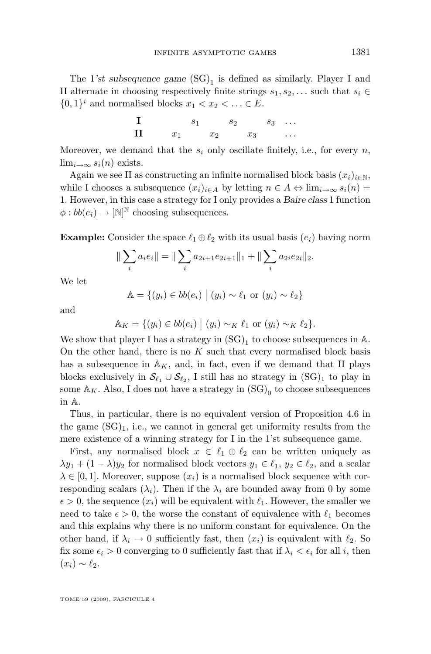The  $1$ 'st subsequence game  $(SG)_1$  is defined as similarly. Player I and II alternate in choosing respectively finite strings  $s_1, s_2, \ldots$  such that  $s_i \in$  $\{0,1\}^i$  and normalised blocks  $x_1 < x_2 < \ldots \in E$ .

$$
\begin{array}{ccccc}\n\mathbf{I} & s_1 & s_2 & s_3 & \dots \\
\mathbf{II} & x_1 & x_2 & x_3 & \dots\n\end{array}
$$

Moreover, we demand that the  $s_i$  only oscillate finitely, i.e., for every n,  $\lim_{i\to\infty} s_i(n)$  exists.

Again we see II as constructing an infinite normalised block basis  $(x_i)_{i\in\mathbb{N}}$ , while I chooses a subsequence  $(x_i)_{i\in A}$  by letting  $n \in A \Leftrightarrow \lim_{i\to\infty} s_i(n) =$ 1. However, in this case a strategy for I only provides a *Baire class* 1 function  $\phi: bb(e_i) \rightarrow [\mathbb{N}]^{\mathbb{N}}$  choosing subsequences.

**Example:** Consider the space  $\ell_1 \oplus \ell_2$  with its usual basis  $(e_i)$  having norm

$$
\|\sum_i a_i e_i\| = \|\sum_i a_{2i+1} e_{2i+1}\|_1 + \|\sum_i a_{2i} e_{2i}\|_2.
$$

We let

$$
\mathbb{A} = \{(y_i) \in bb(e_i) \mid (y_i) \sim \ell_1 \text{ or } (y_i) \sim \ell_2\}
$$

and

$$
\mathbb{A}_K = \{(y_i) \in bb(e_i) \mid (y_i) \sim_K \ell_1 \text{ or } (y_i) \sim_K \ell_2\}.
$$

We show that player I has a strategy in  ${\rm (SG)}_1$  to choose subsequences in A. On the other hand, there is no  $K$  such that every normalised block basis has a subsequence in  $\mathbb{A}_K$ , and, in fact, even if we demand that II plays blocks exclusively in  $\mathcal{S}_{\ell_1} \cup \mathcal{S}_{\ell_2}$ , I still has no strategy in  $(SG)_1$  to play in some  $\mathbb{A}_{K}$ . Also, I does not have a strategy in  $(\mathrm{SG})_{0}$  to choose subsequences in A.

Thus, in particular, there is no equivalent version of Proposition [4.6](#page-18-0) in the game  $(SG)_1$ , i.e., we cannot in general get uniformity results from the mere existence of a winning strategy for I in the 1'st subsequence game.

First, any normalised block  $x \in \ell_1 \oplus \ell_2$  can be written uniquely as  $\lambda y_1 + (1 - \lambda) y_2$  for normalised block vectors  $y_1 \in \ell_1, y_2 \in \ell_2$ , and a scalar  $\lambda \in [0,1]$ . Moreover, suppose  $(x_i)$  is a normalised block sequence with corresponding scalars  $(\lambda_i)$ . Then if the  $\lambda_i$  are bounded away from 0 by some  $\epsilon > 0$ , the sequence  $(x_i)$  will be equivalent with  $\ell_1$ . However, the smaller we need to take  $\epsilon > 0$ , the worse the constant of equivalence with  $\ell_1$  becomes and this explains why there is no uniform constant for equivalence. On the other hand, if  $\lambda_i \to 0$  sufficiently fast, then  $(x_i)$  is equivalent with  $\ell_2$ . So fix some  $\epsilon_i > 0$  converging to 0 sufficiently fast that if  $\lambda_i < \epsilon_i$  for all i, then  $(x_i) \sim \ell_2.$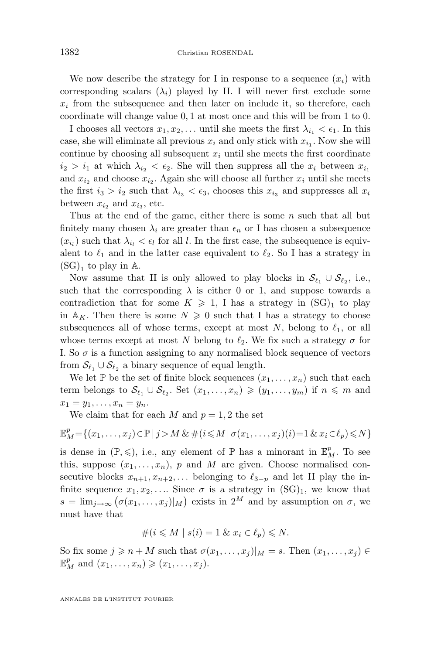We now describe the strategy for I in response to a sequence  $(x_i)$  with corresponding scalars  $(\lambda_i)$  played by II. I will never first exclude some  $x_i$  from the subsequence and then later on include it, so therefore, each coordinate will change value 0, 1 at most once and this will be from 1 to 0.

I chooses all vectors  $x_1, x_2, \ldots$  until she meets the first  $\lambda_{i_1} < \epsilon_1$ . In this case, she will eliminate all previous  $x_i$  and only stick with  $x_{i_1}$ . Now she will continue by choosing all subsequent  $x_i$  until she meets the first coordinate  $i_2 > i_1$  at which  $\lambda_{i_2} < \epsilon_2$ . She will then suppress all the  $x_i$  between  $x_{i_1}$ and  $x_{i_2}$  and choose  $x_{i_2}$ . Again she will choose all further  $x_i$  until she meets the first  $i_3 > i_2$  such that  $\lambda_{i_3} < \epsilon_3$ , chooses this  $x_{i_3}$  and suppresses all  $x_i$ between  $x_{i_2}$  and  $x_{i_3}$ , etc.

Thus at the end of the game, either there is some n such that all but finitely many chosen  $\lambda_i$  are greater than  $\epsilon_n$  or I has chosen a subsequence  $(x_{i_l})$  such that  $\lambda_{i_l} < \epsilon_l$  for all l. In the first case, the subsequence is equivalent to  $\ell_1$  and in the latter case equivalent to  $\ell_2$ . So I has a strategy in  $\rm (SG)_1$  to play in  $\mathbb A.$ 

Now assume that II is only allowed to play blocks in  $\mathcal{S}_{\ell_1} \cup \mathcal{S}_{\ell_2}$ , i.e., such that the corresponding  $\lambda$  is either 0 or 1, and suppose towards a contradiction that for some  $K \geq 1$ , I has a strategy in  $(SG)_1$  to play in  $A_K$ . Then there is some  $N \geq 0$  such that I has a strategy to choose subsequences all of whose terms, except at most N, belong to  $\ell_1$ , or all whose terms except at most N belong to  $\ell_2$ . We fix such a strategy  $\sigma$  for I. So  $\sigma$  is a function assigning to any normalised block sequence of vectors from  $\mathcal{S}_{\ell_1} \cup \mathcal{S}_{\ell_2}$  a binary sequence of equal length.

We let P be the set of finite block sequences  $(x_1, \ldots, x_n)$  such that each term belongs to  $\mathcal{S}_{\ell_1} \cup \mathcal{S}_{\ell_2}$ . Set  $(x_1, \ldots, x_n) \geq (y_1, \ldots, y_m)$  if  $n \leq m$  and  $x_1 = y_1, \ldots, x_n = y_n.$ 

We claim that for each  $M$  and  $p = 1, 2$  the set

$$
\mathbb{E}_M^p = \{(x_1, \ldots, x_j) \in \mathbb{P} \mid j > M \& \#(i \leq M \mid \sigma(x_1, \ldots, x_j)(i) = 1 \& x_i \in \ell_p) \leq N\}
$$

is dense in  $(\mathbb{P}, \leqslant)$ , i.e., any element of  $\mathbb{P}$  has a minorant in  $\mathbb{E}_M^p$ . To see this, suppose  $(x_1, \ldots, x_n)$ , p and M are given. Choose normalised consecutive blocks  $x_{n+1}, x_{n+2}, \ldots$  belonging to  $\ell_{3-p}$  and let II play the infinite sequence  $x_1, x_2, \ldots$  Since  $\sigma$  is a strategy in  $(SG)_1$ , we know that  $s = \lim_{j \to \infty} (\sigma(x_1, \ldots, x_j)|_M)$  exists in  $2^M$  and by assumption on  $\sigma$ , we must have that

$$
\#(i \leq M \mid s(i) = 1 \& x_i \in \ell_p) \leq N.
$$

So fix some  $j \geqslant n + M$  such that  $\sigma(x_1, \ldots, x_i)|_M = s$ . Then  $(x_1, \ldots, x_i) \in$  $\mathbb{E}_M^p$  and  $(x_1,\ldots,x_n) \geqslant (x_1,\ldots,x_j)$ .

ANNALES DE L'INSTITUT FOURIER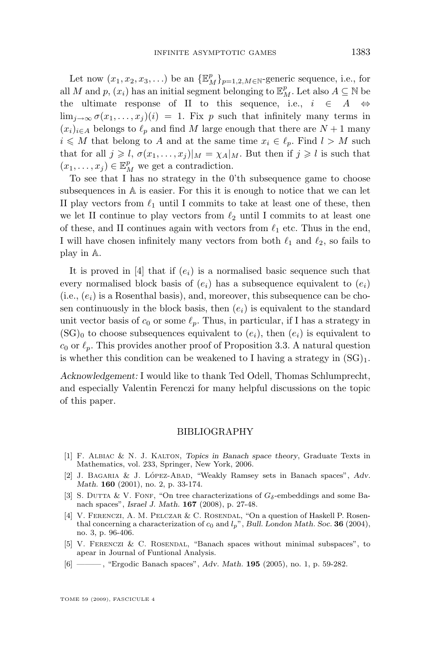<span id="page-25-0"></span>Let now  $(x_1, x_2, x_3, ...)$  be an  $\{\mathbb{E}_M^p\}_{p=1,2,M\in\mathbb{N}}$ -generic sequence, i.e., for all M and p,  $(x_i)$  has an initial segment belonging to  $\mathbb{E}_M^p$ . Let also  $A \subseteq \mathbb{N}$  be the ultimate response of II to this sequence, i.e.,  $i \in A \Leftrightarrow$  $\lim_{i\to\infty}\sigma(x_1,\ldots,x_i)(i) = 1$ . Fix p such that infinitely many terms in  $(x_i)_{i\in A}$  belongs to  $\ell_p$  and find M large enough that there are  $N + 1$  many  $i \leq M$  that belong to A and at the same time  $x_i \in \ell_p$ . Find  $l > M$  such that for all  $j \geq l$ ,  $\sigma(x_1, \ldots, x_i)|_M = \chi_A|_M$ . But then if  $j \geq l$  is such that  $(x_1, \ldots, x_j) \in \mathbb{E}_M^p$  we get a contradiction.

To see that I has no strategy in the 0'th subsequence game to choose subsequences in A is easier. For this it is enough to notice that we can let II play vectors from  $\ell_1$  until I commits to take at least one of these, then we let II continue to play vectors from  $\ell_2$  until I commits to at least one of these, and II continues again with vectors from  $\ell_1$  etc. Thus in the end, I will have chosen infinitely many vectors from both  $\ell_1$  and  $\ell_2$ , so fails to play in A.

It is proved in [4] that if  $(e_i)$  is a normalised basic sequence such that every normalised block basis of  $(e_i)$  has a subsequence equivalent to  $(e_i)$  $(i.e., (e_i)$  is a Rosenthal basis), and, moreover, this subsequence can be chosen continuously in the block basis, then  $(e_i)$  is equivalent to the standard unit vector basis of  $c_0$  or some  $\ell_p$ . Thus, in particular, if I has a strategy in  $(\text{SG})_0$  to choose subsequences equivalent to  $(e_i)$ , then  $(e_i)$  is equivalent to  $c_0$  or  $\ell_p$ . This provides another proof of Proposition [3.3.](#page-12-0) A natural question is whether this condition can be weakened to I having a strategy in  $(SG)_1$ .

*Acknowledgement:* I would like to thank Ted Odell, Thomas Schlumprecht, and especially Valentin Ferenczi for many helpful discussions on the topic of this paper.

#### BIBLIOGRAPHY

- [1] F. Albiac & N. J. Kalton, *Topics in Banach space theory*, Graduate Texts in Mathematics, vol. 233, Springer, New York, 2006.
- [2] J. Bagaria & J. López-Abad, "Weakly Ramsey sets in Banach spaces", *Adv. Math.* **160** (2001), no. 2, p. 33-174.
- [3] S. DUTTA & V. FONF, "On tree characterizations of  $G_{\delta}$ -embeddings and some Banach spaces", *Israel J. Math.* **167** (2008), p. 27-48.
- [4] V. FERENCZI, A. M. PELCZAR & C. ROSENDAL, "On a question of Haskell P. Rosenthal concerning a characterization of  $c_0$  and  $l_p$ ", *Bull. London Math. Soc.* **36** (2004), no. 3, p. 96-406.
- [5] V. Ferenczi & C. Rosendal, "Banach spaces without minimal subspaces", to apear in Journal of Funtional Analysis.
- [6] ——— , "Ergodic Banach spaces", *Adv. Math.* **195** (2005), no. 1, p. 59-282.